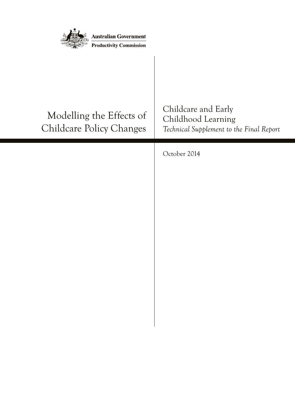| <b>Australian Government</b><br><b>Productivity Commission</b> |                                                                                       |
|----------------------------------------------------------------|---------------------------------------------------------------------------------------|
| Modelling the Effects of<br><b>Childcare Policy Changes</b>    | Childcare and Early<br>Childhood Learning<br>Technical Supplement to the Final Report |
|                                                                | October 2014                                                                          |
|                                                                |                                                                                       |
|                                                                |                                                                                       |
|                                                                |                                                                                       |
|                                                                |                                                                                       |
|                                                                |                                                                                       |
|                                                                |                                                                                       |
|                                                                |                                                                                       |
|                                                                |                                                                                       |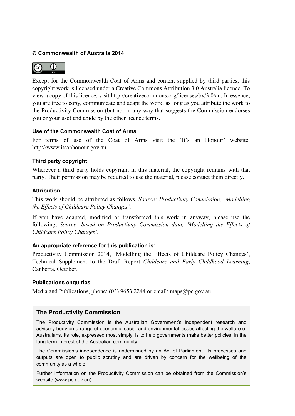### **Commonwealth of Australia 2014**



Except for the Commonwealth Coat of Arms and content supplied by third parties, this copyright work is licensed under a Creative Commons Attribution 3.0 Australia licence. To view a copy of this licence, visit [http://creativecommons.org/licenses/by/3.0/au.](http://creativecommons.org/licenses/by/3.0/au) In essence, you are free to copy, communicate and adapt the work, as long as you attribute the work to the Productivity Commission (but not in any way that suggests the Commission endorses you or your use) and abide by the other licence terms.

#### **Use of the Commonwealth Coat of Arms**

For terms of use of the Coat of Arms visit the ['It's an Honour'](http://www.itsanhonour.gov.au/coat-arms/index.cfm) website: [http://www.itsanhonour.gov.au](http://www.itsanhonour.gov.au/)

### **Third party copyright**

Wherever a third party holds copyright in this material, the copyright remains with that party. Their permission may be required to use the material, please contact them directly.

#### **Attribution**

This work should be attributed as follows, *Source: Productivity Commission, 'Modelling the Effects of Childcare Policy Changes'*.

If you have adapted, modified or transformed this work in anyway, please use the following, *Source: based on Productivity Commission data, 'Modelling the Effects of Childcare Policy Changes'*.

### **An appropriate reference for this publication is:**

Productivity Commission 2014, 'Modelling the Effects of Childcare Policy Changes', Technical Supplement to the Draft Report *Childcare and Early Childhood Learning*, Canberra, October.

#### **Publications enquiries**

Media and Publications, phone: (03) 9653 2244 or email: maps@pc.gov.au

### **The Productivity Commission**

The Productivity Commission is the Australian Government's independent research and advisory body on a range of economic, social and environmental issues affecting the welfare of Australians. Its role, expressed most simply, is to help governments make better policies, in the long term interest of the Australian community.

The Commission's independence is underpinned by an Act of Parliament. Its processes and outputs are open to public scrutiny and are driven by concern for the wellbeing of the community as a whole.

Further information on the Productivity Commission can be obtained from the Commission's website [\(www.pc.gov.au\)](http://www.pc.gov.au/).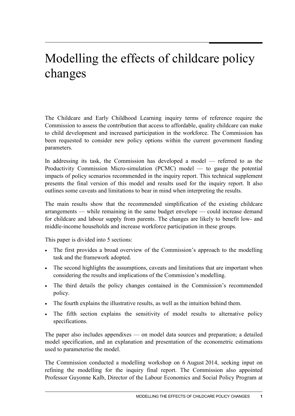# Modelling the effects of childcare policy changes

The Childcare and Early Childhood Learning inquiry terms of reference require the Commission to assess the contribution that access to affordable, quality childcare can make to child development and increased participation in the workforce. The Commission has been requested to consider new policy options within the current government funding parameters.

In addressing its task, the Commission has developed a model — referred to as the Productivity Commission Micro-simulation (PCMC) model — to gauge the potential impacts of policy scenarios recommended in the inquiry report. This technical supplement presents the final version of this model and results used for the inquiry report. It also outlines some caveats and limitations to bear in mind when interpreting the results.

The main results show that the recommended simplification of the existing childcare arrangements — while remaining in the same budget envelope — could increase demand for childcare and labour supply from parents. The changes are likely to benefit low- and middle-income households and increase workforce participation in these groups.

This paper is divided into 5 sections:

- The first provides a broad overview of the Commission's approach to the modelling task and the framework adopted.
- The second highlights the assumptions, caveats and limitations that are important when considering the results and implications of the Commission's modelling.
- The third details the policy changes contained in the Commission's recommended policy.
- The fourth explains the illustrative results, as well as the intuition behind them.
- The fifth section explains the sensitivity of model results to alternative policy specifications.

The paper also includes appendixes — on model data sources and preparation; a detailed model specification, and an explanation and presentation of the econometric estimations used to parameterise the model.

The Commission conducted a modelling workshop on 6 August 2014, seeking input on refining the modelling for the inquiry final report. The Commission also appointed Professor Guyonne Kalb, Director of the Labour Economics and Social Policy Program at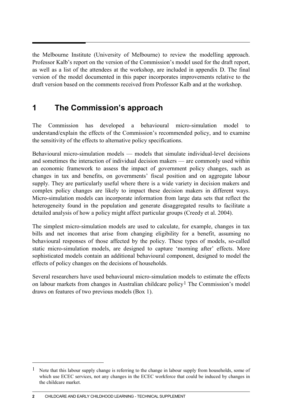the Melbourne Institute (University of Melbourne) to review the modelling approach. Professor Kalb's report on the version of the Commission's model used for the draft report, as well as a list of the attendees at the workshop, are included in appendix D. The final version of the model documented in this paper incorporates improvements relative to the draft version based on the comments received from Professor Kalb and at the workshop.

# **1 The Commission's approach**

The Commission has developed a behavioural micro-simulation model to understand/explain the effects of the Commission's recommended policy, and to examine the sensitivity of the effects to alternative policy specifications.

Behavioural micro-simulation models — models that simulate individual-level decisions and sometimes the interaction of individual decision makers — are commonly used within an economic framework to assess the impact of government policy changes, such as changes in tax and benefits, on governments' fiscal position and on aggregate labour supply. They are particularly useful where there is a wide variety in decision makers and complex policy changes are likely to impact these decision makers in different ways. Micro-simulation models can incorporate information from large data sets that reflect the heterogeneity found in the population and generate disaggregated results to facilitate a detailed analysis of how a policy might affect particular groups (Creedy et al. 2004).

The simplest micro-simulation models are used to calculate, for example, changes in tax bills and net incomes that arise from changing eligibility for a benefit, assuming no behavioural responses of those affected by the policy. These types of models, so-called static micro-simulation models, are designed to capture 'morning after' effects. More sophisticated models contain an additional behavioural component, designed to model the effects of policy changes on the decisions of households.

Several researchers have used behavioural micro-simulation models to estimate the effects on labour markets from changes in Australian childcare policy<sup>[1](#page-3-0)</sup> The Commission's model draws on features of two previous models (Box 1).

**2** CHILDCARE AND EARLY CHILDHOOD LEARNING - TECHNICAL SUPPLEMENT

 $\overline{a}$ 

<span id="page-3-0"></span><sup>&</sup>lt;sup>1</sup> Note that this labour supply change is referring to the change in labour supply from households, some of which use ECEC services, not any changes in the ECEC workforce that could be induced by changes in the childcare market.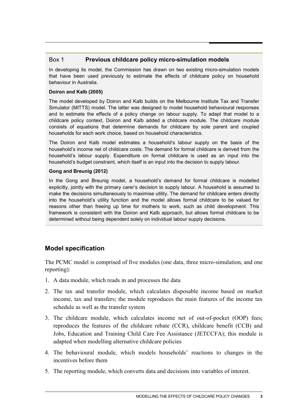### Box 1 **Previous childcare policy micro-simulation models**

In developing its model, the Commission has drawn on two existing micro-simulation models that have been used previously to estimate the effects of childcare policy on household behaviour in Australia.

### **Doiron and Kalb (2005)**

The model developed by Doiron and Kalb builds on the Melbourne Institute Tax and Transfer Simulator (MITTS) model. The latter was designed to model household behavioural responses and to estimate the effects of a policy change on labour supply. To adapt that model to a childcare policy context, Doiron and Kalb added a childcare module. The childcare module consists of equations that determine demands for childcare by sole parent and coupled households for each work choice, based on household characteristics.

The Doiron and Kalb model estimates a household's labour supply on the basis of the household's income net of childcare costs. The demand for formal childcare is derived from the household's labour supply. Expenditure on formal childcare is used as an input into the household's budget constraint, which itself is an input into the decision to supply labour.

### **Gong and Breunig (2012)**

In the Gong and Breunig model, a household's demand for formal childcare is modelled explicitly, jointly with the primary carer's decision to supply labour. A household is assumed to make the decisions simultaneously to maximise utility. The demand for childcare enters directly into the household's utility function and the model allows formal childcare to be valued for reasons other than freeing up time for mothers to work, such as child development. This framework is consistent with the Doiron and Kalb approach, but allows formal childcare to be determined without being dependent solely on individual labour supply decisions.

## **Model specification**

The PCMC model is comprised of five modules (one data, three micro-simulation, and one reporting):

- 1. A data module, which reads in and processes the data
- 2. The tax and transfer module, which calculates disposable income based on market income, tax and transfers; the module reproduces the main features of the income tax schedule as well as the transfer system
- 3. The childcare module, which calculates income net of out-of-pocket (OOP) fees; reproduces the features of the childcare rebate (CCR), childcare benefit (CCB) and Jobs, Education and Training Child Care Fee Assistance (JETCCFA); this module is adapted when modelling alternative childcare policies
- 4. The behavioural module, which models households' reactions to changes in the incentives before them
- 5. The reporting module, which converts data and decisions into variables of interest.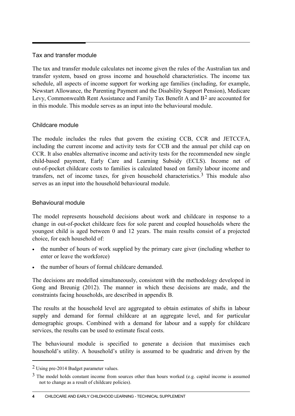### Tax and transfer module

The tax and transfer module calculates net income given the rules of the Australian tax and transfer system, based on gross income and household characteristics. The income tax schedule, all aspects of income support for working age families (including, for example, Newstart Allowance, the Parenting Payment and the Disability Support Pension), Medicare Levy, Commonwealth Rent Assistance and Family Tax Benefit A and B[2](#page-5-0) are accounted for in this module. This module serves as an input into the behavioural module.

### Childcare module

The module includes the rules that govern the existing CCB, CCR and JETCCFA, including the current income and activity tests for CCB and the annual per child cap on CCR. It also enables alternative income and activity tests for the recommended new single child-based payment, Early Care and Learning Subsidy (ECLS). Income net of out-of-pocket childcare costs to families is calculated based on family labour income and transfers, net of income taxes, for given household characteristics.<sup>[3](#page-5-1)</sup> This module also serves as an input into the household behavioural module.

### Behavioural module

The model represents household decisions about work and childcare in response to a change in out-of-pocket childcare fees for sole parent and coupled households where the youngest child is aged between 0 and 12 years. The main results consist of a projected choice, for each household of:

- the number of hours of work supplied by the primary care giver (including whether to enter or leave the workforce)
- the number of hours of formal childcare demanded.

The decisions are modelled simultaneously, consistent with the methodology developed in Gong and Breunig (2012). The manner in which these decisions are made, and the constraints facing households, are described in appendix B.

The results at the household level are aggregated to obtain estimates of shifts in labour supply and demand for formal childcare at an aggregate level, and for particular demographic groups. Combined with a demand for labour and a supply for childcare services, the results can be used to estimate fiscal costs.

The behavioural module is specified to generate a decision that maximises each household's utility. A household's utility is assumed to be quadratic and driven by the

 $\overline{a}$ 

<span id="page-5-0"></span><sup>2</sup> Using pre-2014 Budget parameter values.

<span id="page-5-1"></span><sup>&</sup>lt;sup>3</sup> The model holds constant income from sources other than hours worked (e.g. capital income is assumed not to change as a result of childcare policies).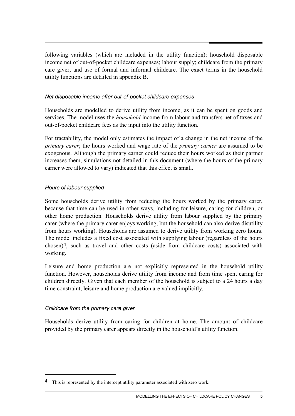following variables (which are included in the utility function): household disposable income net of out-of-pocket childcare expenses; labour supply; childcare from the primary care giver; and use of formal and informal childcare. The exact terms in the household utility functions are detailed in appendix B.

### *Net disposable income after out-of-pocket childcare expenses*

Households are modelled to derive utility from income, as it can be spent on goods and services. The model uses the *household* income from labour and transfers net of taxes and out-of-pocket childcare fees as the input into the utility function.

For tractability, the model only estimates the impact of a change in the net income of the *primary carer*; the hours worked and wage rate of the *primary earner* are assumed to be exogenous. Although the primary earner could reduce their hours worked as their partner increases them, simulations not detailed in this document (where the hours of the primary earner were allowed to vary) indicated that this effect is small.

### *Hours of labour supplied*

Some households derive utility from reducing the hours worked by the primary carer, because that time can be used in other ways, including for leisure, caring for children, or other home production. Households derive utility from labour supplied by the primary carer (where the primary carer enjoys working, but the household can also derive disutility from hours working). Households are assumed to derive utility from working zero hours. The model includes a fixed cost associated with supplying labour (regardless of the hours chosen)[4,](#page-6-0) such as travel and other costs (aside from childcare costs) associated with working.

Leisure and home production are not explicitly represented in the household utility function. However, households derive utility from income and from time spent caring for children directly. Given that each member of the household is subject to a 24 hours a day time constraint, leisure and home production are valued implicitly.

### *Childcare from the primary care giver*

-

Households derive utility from caring for children at home. The amount of childcare provided by the primary carer appears directly in the household's utility function.

<span id="page-6-0"></span><sup>&</sup>lt;sup>4</sup> This is represented by the intercept utility parameter associated with zero work.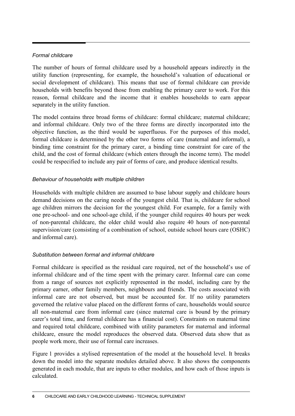### *Formal childcare*

The number of hours of formal childcare used by a household appears indirectly in the utility function (representing, for example, the household's valuation of educational or social development of childcare). This means that use of formal childcare can provide households with benefits beyond those from enabling the primary carer to work. For this reason, formal childcare and the income that it enables households to earn appear separately in the utility function.

The model contains three broad forms of childcare: formal childcare; maternal childcare; and informal childcare. Only two of the three forms are directly incorporated into the objective function, as the third would be superfluous. For the purposes of this model, formal childcare is determined by the other two forms of care (maternal and informal), a binding time constraint for the primary carer, a binding time constraint for care of the child, and the cost of formal childcare (which enters through the income term). The model could be respecified to include any pair of forms of care, and produce identical results.

### *Behaviour of households with multiple children*

Households with multiple children are assumed to base labour supply and childcare hours demand decisions on the caring needs of the youngest child. That is, childcare for school age children mirrors the decision for the youngest child. For example, for a family with one pre-school- and one school-age child, if the younger child requires 40 hours per week of non-parental childcare, the older child would also require 40 hours of non-parental supervision/care (consisting of a combination of school, outside school hours care (OSHC) and informal care).

### *Substitution between formal and informal childcare*

Formal childcare is specified as the residual care required, net of the household's use of informal childcare and of the time spent with the primary carer. Informal care can come from a range of sources not explicitly represented in the model, including care by the primary earner, other family members, neighbours and friends. The costs associated with informal care are not observed, but must be accounted for. If no utility parameters governed the relative value placed on the different forms of care, households would source all non-maternal care from informal care (since maternal care is bound by the primary carer's total time, and formal childcare has a financial cost). Constraints on maternal time and required total childcare, combined with utility parameters for maternal and informal childcare, ensure the model reproduces the observed data. Observed data show that as people work more, their use of formal care increases.

Figure 1 provides a stylised representation of the model at the household level. It breaks down the model into the separate modules detailed above. It also shows the components generated in each module, that are inputs to other modules, and how each of those inputs is calculated.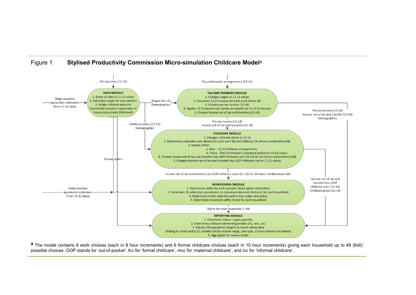

Figure 1 **Stylised Productivity Commission Micro-simulation Childcare Model**<sup>a</sup>

**a** The model contains 8 work choices (each in 8 hour increments) and 6 formal childcare choices (each in 10 hour increments) giving each household up to 48 (8x6) possible choices. OOP stands for 'out-of-pocket', fcc for 'formal childcare', mcc for 'maternal childcare', and icc for 'informal childcare'.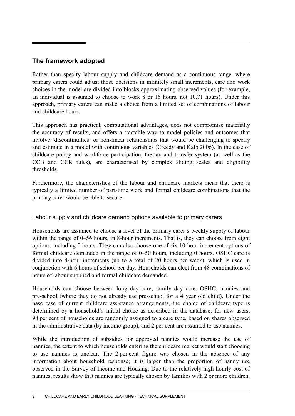## **The framework adopted**

Rather than specify labour supply and childcare demand as a continuous range, where primary carers could adjust those decisions in infinitely small increments, care and work choices in the model are divided into blocks approximating observed values (for example, an individual is assumed to choose to work 8 or 16 hours, not 10.71 hours). Under this approach, primary carers can make a choice from a limited set of combinations of labour and childcare hours.

This approach has practical, computational advantages, does not compromise materially the accuracy of results, and offers a tractable way to model policies and outcomes that involve 'discontinuities' or non-linear relationships that would be challenging to specify and estimate in a model with continuous variables (Creedy and Kalb 2006). In the case of childcare policy and workforce participation, the tax and transfer system (as well as the CCB and CCR rules), are characterised by complex sliding scales and eligibility thresholds.

Furthermore, the characteristics of the labour and childcare markets mean that there is typically a limited number of part-time work and formal childcare combinations that the primary carer would be able to secure.

### Labour supply and childcare demand options available to primary carers

Households are assumed to choose a level of the primary carer's weekly supply of labour within the range of 0–56 hours, in 8-hour increments. That is, they can choose from eight options, including 0 hours. They can also choose one of six 10-hour increment options of formal childcare demanded in the range of 0–50 hours, including 0 hours. OSHC care is divided into 4-hour increments (up to a total of 20 hours per week), which is used in conjunction with 6 hours of school per day. Households can elect from 48 combinations of hours of labour supplied and formal childcare demanded.

Households can choose between long day care, family day care, OSHC, nannies and pre-school (where they do not already use pre-school for a 4 year old child). Under the base case of current childcare assistance arrangements, the choice of childcare type is determined by a household's initial choice as described in the database; for new users, 98 per cent of households are randomly assigned to a care type, based on shares observed in the administrative data (by income group), and 2 per cent are assumed to use nannies.

While the introduction of subsidies for approved nannies would increase the use of nannies, the extent to which households entering the childcare market would start choosing to use nannies is unclear. The 2 per cent figure was chosen in the absence of any information about household response; it is larger than the proportion of nanny use observed in the Survey of Income and Housing. Due to the relatively high hourly cost of nannies, results show that nannies are typically chosen by families with 2 or more children.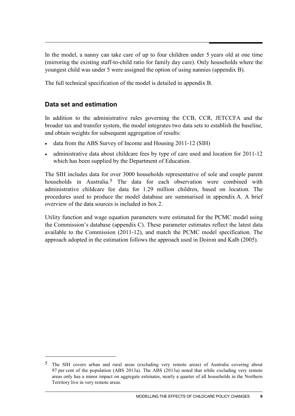In the model, a nanny can take care of up to four children under 5 years old at one time (mirroring the existing staff-to-child ratio for family day care). Only households where the youngest child was under 5 were assigned the option of using nannies (appendix B).

The full technical specification of the model is detailed in appendix B.

## **Data set and estimation**

-

In addition to the administrative rules governing the CCB, CCR, JETCCFA and the broader tax and transfer system, the model integrates two data sets to establish the baseline, and obtain weights for subsequent aggregation of results:

- data from the ABS Survey of Income and Housing 2011-12 (SIH)
- administrative data about childcare fees by type of care used and location for 2011-12 which has been supplied by the Department of Education.

The SIH includes data for over 3000 households representative of sole and couple parent households in Australia.<sup>[5](#page-10-0)</sup> The data for each observation were combined with administrative childcare fee data for 1.29 million children, based on location. The procedures used to produce the model database are summarised in appendix A. A brief overview of the data sources is included in box 2.

Utility function and wage equation parameters were estimated for the PCMC model using the Commission's database (appendix C). These parameter estimates reflect the latest data available to the Commission (2011-12), and match the PCMC model specification. The approach adopted in the estimation follows the approach used in Doiron and Kalb (2005).

<span id="page-10-0"></span><sup>5</sup> The SIH covers urban and rural areas (excluding very remote areas) of Australia covering about 97 per cent of the population (ABS 2013a). The ABS (2013a) noted that while excluding very remote areas only has a minor impact on aggregate estimates, nearly a quarter of all households in the Northern Territory live in very remote areas.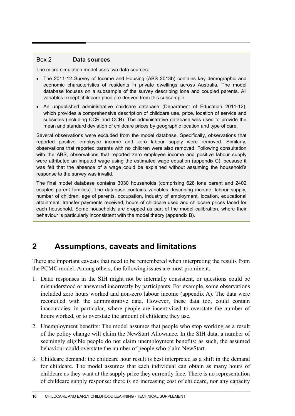### Box 2 **Data sources**

The micro-simulation model uses two data sources:

- The 2011-12 Survey of Income and Housing (ABS 2013b) contains key demographic and economic characteristics of residents in private dwellings across Australia. The model database focuses on a subsample of the survey describing lone and coupled parents. All variables except childcare price are derived from this subsample.
- An unpublished administrative childcare database (Department of Education 2011-12), which provides a comprehensive description of childcare use, price, location of service and subsidies (including CCR and CCB). The administrative database was used to provide the mean and standard deviation of childcare prices by geographic location and type of care.

Several observations were excluded from the model database. Specifically, observations that reported positive employee income and zero labour supply were removed. Similarly, observations that reported parents with no children were also removed. Following consultation with the ABS, observations that reported zero employee income and positive labour supply were attributed an imputed wage using the estimated wage equation (appendix C), because it was felt that the absence of a wage could be explained without assuming the household's response to the survey was invalid.

The final model database contains 3030 households (comprising 628 lone parent and 2402 coupled parent families). The database contains variables describing income, labour supply, number of children, age of parents, occupation, industry of employment, location, educational attainment, transfer payments received, hours of childcare used and childcare prices faced for each household. Some households are dropped as part of the model calibration, where their behaviour is particularly inconsistent with the model theory (appendix B).

# **2 Assumptions, caveats and limitations**

There are important caveats that need to be remembered when interpreting the results from the PCMC model. Among others, the following issues are most prominent.

- 1. Data: responses in the SIH might not be internally consistent, or questions could be misunderstood or answered incorrectly by participants. For example, some observations included zero hours worked and non-zero labour income (appendix A). The data were reconciled with the administrative data. However, these data too, could contain inaccuracies, in particular, where people are incentivised to overstate the number of hours worked, or to overstate the amount of childcare they use.
- 2. Unemployment benefits: The model assumes that people who stop working as a result of the policy change will claim the NewStart Allowance. In the SIH data, a number of seemingly eligible people do not claim unemployment benefits; as such, the assumed behaviour could overstate the number of people who claim NewStart.
- 3. Childcare demand: the childcare hour result is best interpreted as a shift in the demand for childcare. The model assumes that each individual can obtain as many hours of childcare as they want at the supply price they currently face. There is no representation of childcare supply response: there is no increasing cost of childcare, nor any capacity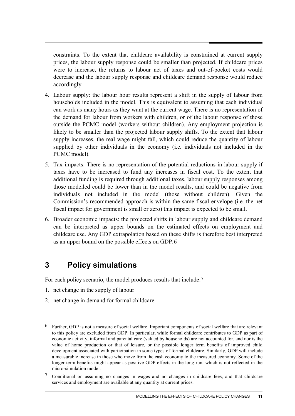constraints. To the extent that childcare availability is constrained at current supply prices, the labour supply response could be smaller than projected. If childcare prices were to increase, the returns to labour net of taxes and out-of-pocket costs would decrease and the labour supply response and childcare demand response would reduce accordingly.

- 4. Labour supply: the labour hour results represent a shift in the supply of labour from households included in the model. This is equivalent to assuming that each individual can work as many hours as they want at the current wage. There is no representation of the demand for labour from workers with children, or of the labour response of those outside the PCMC model (workers without children). Any employment projection is likely to be smaller than the projected labour supply shifts. To the extent that labour supply increases, the real wage might fall, which could reduce the quantity of labour supplied by other individuals in the economy (i.e. individuals not included in the PCMC model).
- 5. Tax impacts: There is no representation of the potential reductions in labour supply if taxes have to be increased to fund any increases in fiscal cost. To the extent that additional funding is required through additional taxes, labour supply responses among those modelled could be lower than in the model results, and could be negative from individuals not included in the model (those without children). Given the Commission's recommended approach is within the same fiscal envelope (i.e. the net fiscal impact for government is small or zero) this impact is expected to be small.
- 6. Broader economic impacts: the projected shifts in labour supply and childcare demand can be interpreted as upper bounds on the estimated effects on employment and childcare use. Any GDP extrapolation based on these shifts is therefore best interpreted as an upper bound on the possible effects on GDP.[6](#page-12-0)

# **3 Policy simulations**

For each policy scenario, the model produces results that include:<sup>[7](#page-12-1)</sup>

1. net change in the supply of labour

-

2. net change in demand for formal childcare

<span id="page-12-0"></span><sup>6</sup> Further, GDP is not a measure of social welfare. Important components of social welfare that are relevant to this policy are excluded from GDP. In particular, while formal childcare contributes to GDP as part of economic activity, informal and parental care (valued by households) are not accounted for, and nor is the value of home production or that of leisure, or the possible longer term benefits of improved child development associated with participation in some types of formal childcare. Similarly, GDP will include a measurable increase in those who move from the cash economy to the measured economy. Some of the longer-term benefits might appear as positive GDP effects in the long run, which is not reflected in the micro-simulation model.

<span id="page-12-1"></span><sup>7</sup> Conditional on assuming no changes in wages and no changes in childcare fees, and that childcare services and employment are available at any quantity at current prices.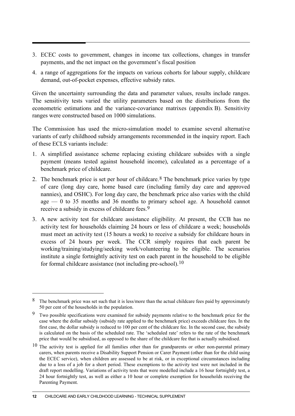- 3. ECEC costs to government, changes in income tax collections, changes in transfer payments, and the net impact on the government's fiscal position
- 4. a range of aggregations for the impacts on various cohorts for labour supply, childcare demand, out-of-pocket expenses, effective subsidy rates.

Given the uncertainty surrounding the data and parameter values, results include ranges. The sensitivity tests varied the utility parameters based on the distributions from the econometric estimations and the variance-covariance matrixes (appendix B). Sensitivity ranges were constructed based on 1000 simulations.

The Commission has used the micro-simulation model to examine several alternative variants of early childhood subsidy arrangements recommended in the inquiry report. Each of these ECLS variants include:

- 1. A simplified assistance scheme replacing existing childcare subsides with a single payment (means tested against household income), calculated as a percentage of a benchmark price of childcare.
- 2. The benchmark price is set per hour of childcare.  $8$  The benchmark price varies by type of care (long day care, home based care (including family day care and approved nannies), and OSHC). For long day care, the benchmark price also varies with the child age  $-0$  to 35 months and 36 months to primary school age. A household cannot receive a subsidy in excess of childcare fees.[9](#page-13-1)
- 3. A new activity test for childcare assistance eligibility. At present, the CCB has no activity test for households claiming 24 hours or less of childcare a week; households must meet an activity test (15 hours a week) to receive a subsidy for childcare hours in excess of 24 hours per week. The CCR simply requires that each parent be working/training/studying/seeking work/volunteering to be eligible. The scenarios institute a single fortnightly activity test on each parent in the household to be eligible for formal childcare assistance (not including pre-school).[10](#page-13-2)

 $\overline{a}$ 

<span id="page-13-0"></span><sup>&</sup>lt;sup>8</sup> The benchmark price was set such that it is less/more than the actual childcare fees paid by approximately 50 per cent of the households in the population.

<span id="page-13-1"></span><sup>9</sup> Two possible specifications were examined for subsidy payments relative to the benchmark price for the case where the dollar subsidy (subsidy rate applied to the benchmark price) exceeds childcare fees. In the first case, the dollar subsidy is reduced to 100 per cent of the childcare fee. In the second case, the subsidy is calculated on the basis of the scheduled rate. The 'scheduled rate' refers to the rate of the benchmark price that would be subsidised, as opposed to the share of the childcare fee that is actually subsidised.

<span id="page-13-2"></span><sup>&</sup>lt;sup>10</sup> The activity test is applied for all families other than for grandparents or other non-parental primary carers, when parents receive a Disability Support Pension or Carer Payment (other than for the child using the ECEC service), when children are assessed to be at risk, or in exceptional circumstances including due to a loss of a job for a short period. These exemptions to the activity test were not included in the draft report modelling. Variations of activity tests that were modelled include a 16 hour fortnightly test, a 24 hour fortnightly test, as well as either a 10 hour or complete exemption for households receiving the Parenting Payment.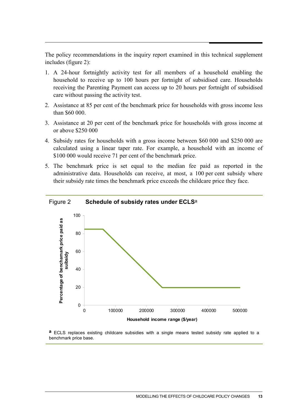The policy recommendations in the inquiry report examined in this technical supplement includes (figure 2):

- 1. A 24-hour fortnightly activity test for all members of a household enabling the household to receive up to 100 hours per fortnight of subsidised care. Households receiving the Parenting Payment can access up to 20 hours per fortnight of subsidised care without passing the activity test.
- 2. Assistance at 85 per cent of the benchmark price for households with gross income less than \$60 000.
- 3. Assistance at 20 per cent of the benchmark price for households with gross income at or above \$250 000
- 4. Subsidy rates for households with a gross income between \$60 000 and \$250 000 are calculated using a linear taper rate. For example, a household with an income of \$100 000 would receive 71 per cent of the benchmark price.
- 5. The benchmark price is set equal to the median fee paid as reported in the administrative data. Households can receive, at most, a 100 per cent subsidy where their subsidy rate times the benchmark price exceeds the childcare price they face.



**a** ECLS replaces existing childcare subsidies with a single means tested subsidy rate applied to a benchmark price base.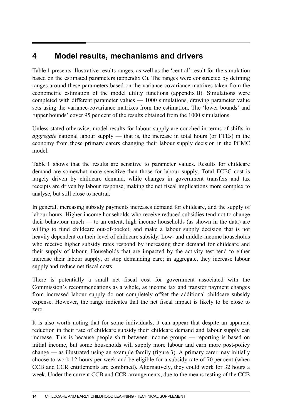# **4 Model results, mechanisms and drivers**

Table 1 presents illustrative results ranges, as well as the 'central' result for the simulation based on the estimated parameters (appendix C). The ranges were constructed by defining ranges around these parameters based on the variance-covariance matrixes taken from the econometric estimation of the model utility functions (appendix B). Simulations were completed with different parameter values — 1000 simulations, drawing parameter value sets using the variance-covariance matrixes from the estimation. The 'lower bounds' and 'upper bounds' cover 95 per cent of the results obtained from the 1000 simulations.

Unless stated otherwise, model results for labour supply are couched in terms of shifts in *aggregate* national labour supply — that is, the increase in total hours (or FTEs) in the economy from those primary carers changing their labour supply decision in the PCMC model.

Table 1 shows that the results are sensitive to parameter values. Results for childcare demand are somewhat more sensitive than those for labour supply. Total ECEC cost is largely driven by childcare demand, while changes in government transfers and tax receipts are driven by labour response, making the net fiscal implications more complex to analyse, but still close to neutral.

In general, increasing subsidy payments increases demand for childcare, and the supply of labour hours. Higher income households who receive reduced subsidies tend not to change their behaviour much — to an extent, high income households (as shown in the data) are willing to fund childcare out-of-pocket, and make a labour supply decision that is not heavily dependent on their level of childcare subsidy. Low- and middle-income households who receive higher subsidy rates respond by increasing their demand for childcare and their supply of labour. Households that are impacted by the activity test tend to either increase their labour supply, or stop demanding care; in aggregate, they increase labour supply and reduce net fiscal costs.

There is potentially a small net fiscal cost for government associated with the Commission's recommendations as a whole, as income tax and transfer payment changes from increased labour supply do not completely offset the additional childcare subsidy expense. However, the range indicates that the net fiscal impact is likely to be close to zero.

It is also worth noting that for some individuals, it can appear that despite an apparent reduction in their rate of childcare subsidy their childcare demand and labour supply can increase. This is because people shift between income groups — reporting is based on initial income, but some households will supply more labour and earn more post-policy change — as illustrated using an example family (figure 3). A primary carer may initially choose to work 12 hours per week and be eligible for a subsidy rate of 70 per cent (when CCB and CCR entitlements are combined). Alternatively, they could work for 32 hours a week. Under the current CCB and CCR arrangements, due to the means testing of the CCB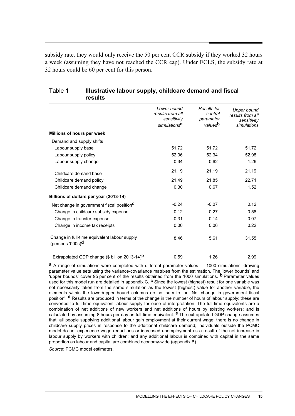subsidy rate, they would only receive the 50 per cent CCR subsidy if they worked 32 hours a week (assuming they have not reached the CCR cap). Under ECLS, the subsidy rate at 32 hours could be 60 per cent for this person.

| results                                                             |                                                                            |                                                                   |                                                                      |
|---------------------------------------------------------------------|----------------------------------------------------------------------------|-------------------------------------------------------------------|----------------------------------------------------------------------|
|                                                                     | Lower bound<br>results from all<br>sensitivity<br>simulations <sup>a</sup> | <b>Results for</b><br>central<br>parameter<br>values <sup>b</sup> | <b>Upper bound</b><br>results from all<br>sensitivity<br>simulations |
| Millions of hours per week                                          |                                                                            |                                                                   |                                                                      |
| Demand and supply shifts                                            |                                                                            |                                                                   |                                                                      |
| Labour supply base                                                  | 51.72                                                                      | 51.72                                                             | 51.72                                                                |
| Labour supply policy                                                | 52.06                                                                      | 52.34                                                             | 52.98                                                                |
| Labour supply change                                                | 0.34                                                                       | 0.62                                                              | 1.26                                                                 |
| Childcare demand base                                               | 21.19                                                                      | 21.19                                                             | 21.19                                                                |
| Childcare demand policy                                             | 21.49                                                                      | 21.85                                                             | 22.71                                                                |
| Childcare demand change                                             | 0.30                                                                       | 0.67                                                              | 1.52                                                                 |
| Billions of dollars per year (2013-14)                              |                                                                            |                                                                   |                                                                      |
| Net change in government fiscal position <sup>C</sup>               | $-0.24$                                                                    | $-0.07$                                                           | 0.12                                                                 |
| Change in childcare subsidy expense                                 | 0.12                                                                       | 0.27                                                              | 0.58                                                                 |
| Change in transfer expense                                          | $-0.31$                                                                    | $-0.14$                                                           | $-0.07$                                                              |
| Change in income tax receipts                                       | 0.00                                                                       | 0.06                                                              | 0.22                                                                 |
| Change in full-time equivalent labour supply<br>(persons '000s) $d$ | 8.46                                                                       | 15.61                                                             | 31.55                                                                |
| Extrapolated GDP change (\$ billion 2013-14) <sup>e</sup>           | 0.59                                                                       | 1.26                                                              | 2.99                                                                 |

## Table 1 **Illustrative labour supply, childcare demand and fiscal results**

**a** A range of simulations were completed with different parameter values — 1000 simulations, drawing parameter value sets using the variance-covariance matrixes from the estimation. The 'lower bounds' and 'upper bounds' cover 95 per cent of the results obtained from the 1000 simulations. **b** Parameter values used for this model run are detailed in appendix C. **c** Since the lowest (highest) result for one variable was not necessarily taken from the same simulation as the lowest (highest) value for another variable, the elements within the lower/upper bound columns do not sum to the 'Net change in government fiscal position'. **d** Results are produced in terms of the change in the number of hours of labour supply; these are converted to full-time equivalent labour supply for ease of interpretation. The full-time equivalents are a combination of net additions of new workers and net additions of hours by existing workers; and is calculated by assuming 8 hours per day as full-time equivalent. **e** The extrapolated GDP change assumes that: all people supplying additional labour gain employment at their current wage; there is no change in childcare supply prices in response to the additional childcare demand; individuals outside the PCMC model do not experience wage reductions or increased unemployment as a result of the net increase in labour supply by workers with children; and any additional labour is combined with capital in the same proportion as labour and capital are combined economy-wide (appendix B).

*Source*: PCMC model estimates.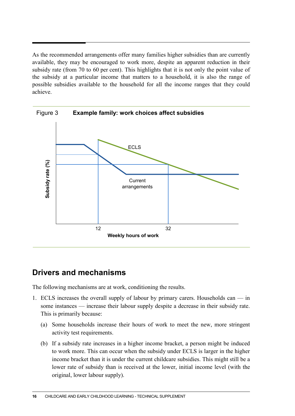As the recommended arrangements offer many families higher subsidies than are currently available, they may be encouraged to work more, despite an apparent reduction in their subsidy rate (from 70 to 60 per cent). This highlights that it is not only the point value of the subsidy at a particular income that matters to a household, it is also the range of possible subsidies available to the household for all the income ranges that they could achieve.



# **Drivers and mechanisms**

The following mechanisms are at work, conditioning the results.

- 1. ECLS increases the overall supply of labour by primary carers. Households can in some instances — increase their labour supply despite a decrease in their subsidy rate. This is primarily because:
	- (a) Some households increase their hours of work to meet the new, more stringent activity test requirements.
	- (b) If a subsidy rate increases in a higher income bracket, a person might be induced to work more. This can occur when the subsidy under ECLS is larger in the higher income bracket than it is under the current childcare subsidies. This might still be a lower rate of subsidy than is received at the lower, initial income level (with the original, lower labour supply).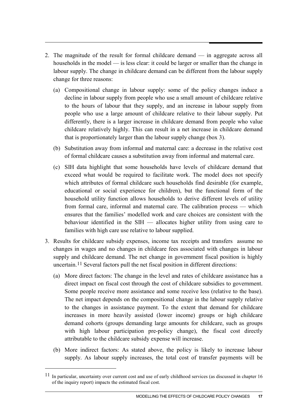- 2. The magnitude of the result for formal childcare demand in aggregate across all households in the model — is less clear: it could be larger or smaller than the change in labour supply. The change in childcare demand can be different from the labour supply change for three reasons:
	- (a) Compositional change in labour supply: some of the policy changes induce a decline in labour supply from people who use a small amount of childcare relative to the hours of labour that they supply, and an increase in labour supply from people who use a large amount of childcare relative to their labour supply. Put differently, there is a larger increase in childcare demand from people who value childcare relatively highly. This can result in a net increase in childcare demand that is proportionately larger than the labour supply change (box 3).
	- (b) Substitution away from informal and maternal care: a decrease in the relative cost of formal childcare causes a substitution away from informal and maternal care.
	- (c) SIH data highlight that some households have levels of childcare demand that exceed what would be required to facilitate work. The model does not specify which attributes of formal childcare such households find desirable (for example, educational or social experience for children), but the functional form of the household utility function allows households to derive different levels of utility from formal care, informal and maternal care. The calibration process — which ensures that the families' modelled work and care choices are consistent with the behaviour identified in the SIH — allocates higher utility from using care to families with high care use relative to labour supplied.
- 3. Results for childcare subsidy expenses, income tax receipts and transfers assume no changes in wages and no changes in childcare fees associated with changes in labour supply and childcare demand. The net change in government fiscal position is highly uncertain.[11](#page-18-0) Several factors pull the net fiscal position in different directions:
	- (a) More direct factors: The change in the level and rates of childcare assistance has a direct impact on fiscal cost through the cost of childcare subsidies to government. Some people receive more assistance and some receive less (relative to the base). The net impact depends on the compositional change in the labour supply relative to the changes in assistance payment. To the extent that demand for childcare increases in more heavily assisted (lower income) groups or high childcare demand cohorts (groups demanding large amounts for childcare, such as groups with high labour participation pre-policy change), the fiscal cost directly attributable to the childcare subsidy expense will increase.
	- (b) More indirect factors: As stated above, the policy is likely to increase labour supply. As labour supply increases, the total cost of transfer payments will be

-

<span id="page-18-0"></span><sup>&</sup>lt;sup>11</sup> In particular, uncertainty over current cost and use of early childhood services (as discussed in chapter 16 of the inquiry report) impacts the estimated fiscal cost.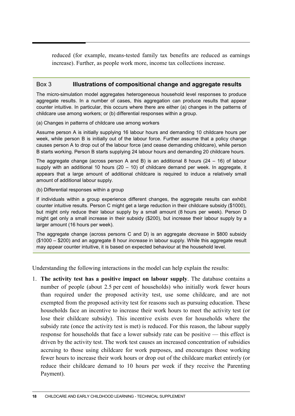reduced (for example, means-tested family tax benefits are reduced as earnings increase). Further, as people work more, income tax collections increase.

### Box 3 **Illustrations of compositional change and aggregate results**

The micro-simulation model aggregates heterogeneous household level responses to produce aggregate results. In a number of cases, this aggregation can produce results that appear counter intuitive. In particular, this occurs where there are either (a) changes in the patterns of childcare use among workers; or (b) differential responses within a group.

(a) Changes in patterns of childcare use among workers

Assume person A is initially supplying 16 labour hours and demanding 10 childcare hours per week, while person B is initially out of the labour force. Further assume that a policy change causes person A to drop out of the labour force (and cease demanding childcare), while person B starts working. Person B starts supplying 24 labour hours and demanding 20 childcare hours.

The aggregate change (across person A and B) is an additional 8 hours  $(24 - 16)$  of labour supply with an additional 10 hours  $(20 - 10)$  of childcare demand per week. In aggregate, it appears that a large amount of additional childcare is required to induce a relatively small amount of additional labour supply.

#### (b) Differential responses within a group

If individuals within a group experience different changes, the aggregate results can exhibit counter intuitive results. Person C might get a large reduction in their childcare subsidy (\$1000), but might only reduce their labour supply by a small amount (8 hours per week). Person D might get only a small increase in their subsidy (\$200), but increase their labour supply by a larger amount (16 hours per week).

The aggregate change (across persons C and D) is an aggregate *decrease* in \$800 subsidy (\$1000 – \$200) and an aggregate 8 hour *increase* in labour supply. While this aggregate result may appear counter intuitive, it is based on expected behaviour at the household level.

Understanding the following interactions in the model can help explain the results:

1. **The activity test has a positive impact on labour supply**. The database contains a number of people (about 2.5 per cent of households) who initially work fewer hours than required under the proposed activity test, use some childcare, and are not exempted from the proposed activity test for reasons such as pursuing education. These households face an incentive to increase their work hours to meet the activity test (or lose their childcare subsidy). This incentive exists even for households where the subsidy rate (once the activity test is met) is reduced. For this reason, the labour supply response for households that face a lower subsidy rate can be positive — this effect is driven by the activity test. The work test causes an increased concentration of subsidies accruing to those using childcare for work purposes, and encourages those working fewer hours to increase their work hours or drop out of the childcare market entirely (or reduce their childcare demand to 10 hours per week if they receive the Parenting Payment).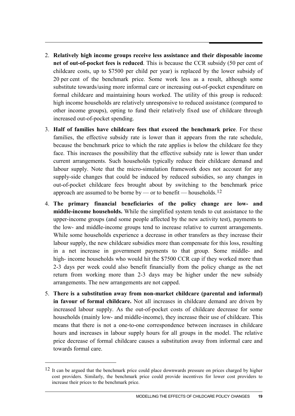- 2. **Relatively high income groups receive less assistance and their disposable income net of out-of-pocket fees is reduced**. This is because the CCR subsidy (50 per cent of childcare costs, up to \$7500 per child per year) is replaced by the lower subsidy of 20 per cent of the benchmark price. Some work less as a result, although some substitute towards/using more informal care or increasing out-of-pocket expenditure on formal childcare and maintaining hours worked. The utility of this group is reduced: high income households are relatively unresponsive to reduced assistance (compared to other income groups), opting to fund their relatively fixed use of childcare through increased out-of-pocket spending.
- 3. **Half of families have childcare fees that exceed the benchmark price**. For these families, the effective subsidy rate is lower than it appears from the rate schedule, because the benchmark price to which the rate applies is below the childcare fee they face. This increases the possibility that the effective subsidy rate is lower than under current arrangements. Such households typically reduce their childcare demand and labour supply. Note that the micro-simulation framework does not account for any supply-side changes that could be induced by reduced subsidies, so any changes in out-of-pocket childcare fees brought about by switching to the benchmark price approach are assumed to be borne by — or to benefit — households.<sup>[12](#page-20-0)</sup>
- 4. **The primary financial beneficiaries of the policy change are low- and middle-income households.** While the simplified system tends to cut assistance to the upper-income groups (and some people affected by the new activity test), payments to the low- and middle-income groups tend to increase relative to current arrangements. While some households experience a decrease in other transfers as they increase their labour supply, the new childcare subsidies more than compensate for this loss, resulting in a net increase in government payments to that group. Some middle- and high- income households who would hit the \$7500 CCR cap if they worked more than 2-3 days per week could also benefit financially from the policy change as the net return from working more than 2-3 days may be higher under the new subsidy arrangements. The new arrangements are not capped.
- 5. **There is a substitution away from non-market childcare (parental and informal) in favour of formal childcare.** Not all increases in childcare demand are driven by increased labour supply. As the out-of-pocket costs of childcare decrease for some households (mainly low- and middle-income), they increase their use of childcare. This means that there is not a one-to-one correspondence between increases in childcare hours and increases in labour supply hours for all groups in the model. The relative price decrease of formal childcare causes a substitution away from informal care and towards formal care.

-

<span id="page-20-0"></span><sup>&</sup>lt;sup>12</sup> It can be argued that the benchmark price could place downwards pressure on prices charged by higher cost providers. Similarly, the benchmark price could provide incentives for lower cost providers to increase their prices to the benchmark price.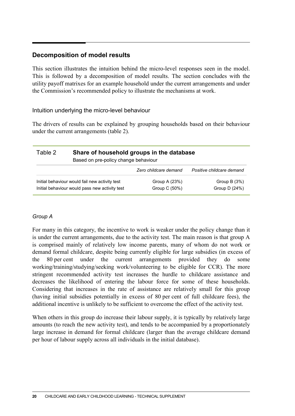### **Decomposition of model results**

This section illustrates the intuition behind the micro-level responses seen in the model. This is followed by a decomposition of model results. The section concludes with the utility payoff matrixes for an example household under the current arrangements and under the Commission's recommended policy to illustrate the mechanisms at work.

### Intuition underlying the micro-level behaviour

The drivers of results can be explained by grouping households based on their behaviour under the current arrangements (table 2).

| Table 2 | Share of household groups in the database<br>Based on pre-policy change behaviour                |                                |                                  |  |  |
|---------|--------------------------------------------------------------------------------------------------|--------------------------------|----------------------------------|--|--|
|         |                                                                                                  | Zero childcare demand          | Positive childcare demand        |  |  |
|         | Initial behaviour would fail new activity test<br>Initial behaviour would pass new activity test | Group A (23%)<br>Group C (50%) | Group B $(3%)$<br>Group $D(24%)$ |  |  |

### *Group A*

For many in this category, the incentive to work is weaker under the policy change than it is under the current arrangements, due to the activity test. The main reason is that group A is comprised mainly of relatively low income parents, many of whom do not work or demand formal childcare, despite being currently eligible for large subsidies (in excess of the 80 per cent under the current arrangements provided they do some working/training/studying/seeking work/volunteering to be eligible for CCR). The more stringent recommended activity test increases the hurdle to childcare assistance and decreases the likelihood of entering the labour force for some of these households. Considering that increases in the rate of assistance are relatively small for this group (having initial subsidies potentially in excess of 80 per cent of full childcare fees), the additional incentive is unlikely to be sufficient to overcome the effect of the activity test.

When others in this group do increase their labour supply, it is typically by relatively large amounts (to reach the new activity test), and tends to be accompanied by a proportionately large increase in demand for formal childcare (larger than the average childcare demand per hour of labour supply across all individuals in the initial database).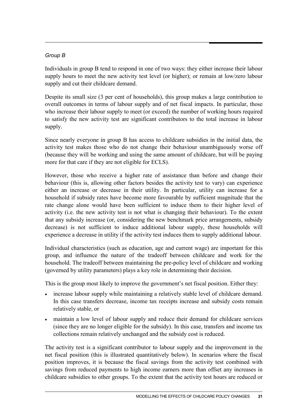### *Group B*

Individuals in group B tend to respond in one of two ways: they either increase their labour supply hours to meet the new activity test level (or higher); or remain at low/zero labour supply and cut their childcare demand.

Despite its small size (3 per cent of households), this group makes a large contribution to overall outcomes in terms of labour supply and of net fiscal impacts. In particular, those who increase their labour supply to meet (or exceed) the number of working hours required to satisfy the new activity test are significant contributors to the total increase in labour supply.

Since nearly everyone in group B has access to childcare subsidies in the initial data, the activity test makes those who do not change their behaviour unambiguously worse off (because they will be working and using the same amount of childcare, but will be paying more for that care if they are not eligible for ECLS).

However, those who receive a higher rate of assistance than before and change their behaviour (this is, allowing other factors besides the activity test to vary) can experience either an increase or decrease in their utility. In particular, utility can increase for a household if subsidy rates have become more favourable by sufficient magnitude that the rate change alone would have been sufficient to induce them to their higher level of activity (i.e. the new activity test is not what is changing their behaviour). To the extent that any subsidy increase (or, considering the new benchmark price arrangements, subsidy decrease) is not sufficient to induce additional labour supply, these households will experience a decrease in utility if the activity test induces them to supply additional labour.

Individual characteristics (such as education, age and current wage) are important for this group, and influence the nature of the tradeoff between childcare and work for the household. The tradeoff between maintaining the pre-policy level of childcare and working (governed by utility parameters) plays a key role in determining their decision.

This is the group most likely to improve the government's net fiscal position. Either they:

- increase labour supply while maintaining a relatively stable level of childcare demand. In this case transfers decrease, income tax receipts increase and subsidy costs remain relatively stable, or
- maintain a low level of labour supply and reduce their demand for childcare services (since they are no longer eligible for the subsidy). In this case, transfers and income tax collections remain relatively unchanged and the subsidy cost is reduced.

The activity test is a significant contributor to labour supply and the improvement in the net fiscal position (this is illustrated quantitatively below). In scenarios where the fiscal position improves, it is because the fiscal savings from the activity test combined with savings from reduced payments to high income earners more than offset any increases in childcare subsidies to other groups. To the extent that the activity test hours are reduced or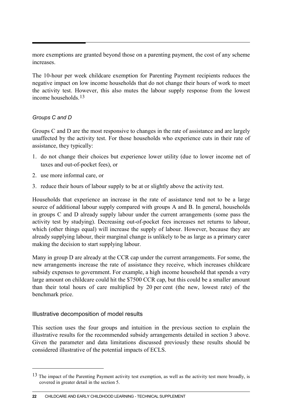more exemptions are granted beyond those on a parenting payment, the cost of any scheme increases.

The 10-hour per week childcare exemption for Parenting Payment recipients reduces the negative impact on low income households that do not change their hours of work to meet the activity test. However, this also mutes the labour supply response from the lowest income households.<sup>[13](#page-23-0)</sup>

### *Groups C and D*

Groups C and D are the most responsive to changes in the rate of assistance and are largely unaffected by the activity test. For those households who experience cuts in their rate of assistance, they typically:

- 1. do not change their choices but experience lower utility (due to lower income net of taxes and out-of-pocket fees), or
- 2. use more informal care, or
- 3. reduce their hours of labour supply to be at or slightly above the activity test.

Households that experience an increase in the rate of assistance tend not to be a large source of additional labour supply compared with groups A and B. In general, households in groups C and D already supply labour under the current arrangements (some pass the activity test by studying). Decreasing out-of-pocket fees increases net returns to labour, which (other things equal) will increase the supply of labour. However, because they are already supplying labour, their marginal change is unlikely to be as large as a primary carer making the decision to start supplying labour.

Many in group D are already at the CCR cap under the current arrangements. For some, the new arrangements increase the rate of assistance they receive, which increases childcare subsidy expenses to government. For example, a high income household that spends a very large amount on childcare could hit the \$7500 CCR cap, but this could be a smaller amount than their total hours of care multiplied by 20 per cent (the new, lowest rate) of the benchmark price.

### Illustrative decomposition of model results

 $\overline{a}$ 

This section uses the four groups and intuition in the previous section to explain the illustrative results for the recommended subsidy arrangements detailed in section 3 above. Given the parameter and data limitations discussed previously these results should be considered illustrative of the potential impacts of ECLS.

<span id="page-23-0"></span><sup>&</sup>lt;sup>13</sup> The impact of the Parenting Payment activity test exemption, as well as the activity test more broadly, is covered in greater detail in the section 5.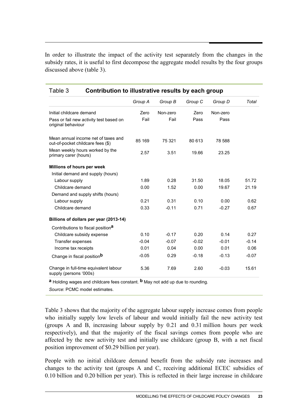In order to illustrate the impact of the activity test separately from the changes in the subsidy rates, it is useful to first decompose the aggregate model results by the four groups discussed above (table 3).

| i dult J<br>Contribution to mustrative results by each group             |         |          |         |          |         |  |  |  |
|--------------------------------------------------------------------------|---------|----------|---------|----------|---------|--|--|--|
|                                                                          | Group A | Group B  | Group C | Group D  | Total   |  |  |  |
| Initial childcare demand                                                 | Zero    | Non-zero | Zero    | Non-zero |         |  |  |  |
| Pass or fail new activity test based on<br>original behaviour            | Fail    | Fail     | Pass    | Pass     |         |  |  |  |
| Mean annual income net of taxes and<br>out-of-pocket childcare fees (\$) | 85 169  | 75 321   | 80 613  | 78 588   |         |  |  |  |
| Mean weekly hours worked by the<br>primary carer (hours)                 | 2.57    | 3.51     | 19.66   | 23.25    |         |  |  |  |
| Millions of hours per week                                               |         |          |         |          |         |  |  |  |
| Initial demand and supply (hours)                                        |         |          |         |          |         |  |  |  |
| Labour supply                                                            | 1.89    | 0.28     | 31.50   | 18.05    | 51.72   |  |  |  |
| Childcare demand                                                         | 0.00    | 1.52     | 0.00    | 19.67    | 21.19   |  |  |  |
| Demand and supply shifts (hours)                                         |         |          |         |          |         |  |  |  |
| Labour supply                                                            | 0.21    | 0.31     | 0.10    | 0.00     | 0.62    |  |  |  |
| Childcare demand                                                         | 0.33    | $-0.11$  | 0.71    | $-0.27$  | 0.67    |  |  |  |
| Billions of dollars per year (2013-14)                                   |         |          |         |          |         |  |  |  |
| Contributions to fiscal position <sup>a</sup>                            |         |          |         |          |         |  |  |  |
| Childcare subsidy expense                                                | 0.10    | $-0.17$  | 0.20    | 0.14     | 0.27    |  |  |  |
| Transfer expenses                                                        | $-0.04$ | $-0.07$  | $-0.02$ | $-0.01$  | $-0.14$ |  |  |  |
| Income tax receipts                                                      | 0.01    | 0.04     | 0.00    | 0.01     | 0.06    |  |  |  |
| Change in fiscal position <sup>b</sup>                                   | $-0.05$ | 0.29     | $-0.18$ | $-0.13$  | $-0.07$ |  |  |  |
| Change in full-time equivalent labour<br>supply (persons '000s)          | 5.36    | 7.69     | 2.60    | $-0.03$  | 15.61   |  |  |  |

# Table 3 **Contribution to illustrative results by each group**

**a** Holding wages and childcare fees constant. **b** May not add up due to rounding.

*Source*: PCMC model estimates.

Table 3 shows that the majority of the aggregate labour supply increase comes from people who initially supply low levels of labour and would initially fail the new activity test (groups A and B, increasing labour supply by 0.21 and 0.31 million hours per week respectively), and that the majority of the fiscal savings comes from people who are affected by the new activity test and initially use childcare (group B, with a net fiscal position improvement of \$0.29 billion per year).

People with no initial childcare demand benefit from the subsidy rate increases and changes to the activity test (groups A and C, receiving additional ECEC subsidies of 0.10 billion and 0.20 billion per year). This is reflected in their large increase in childcare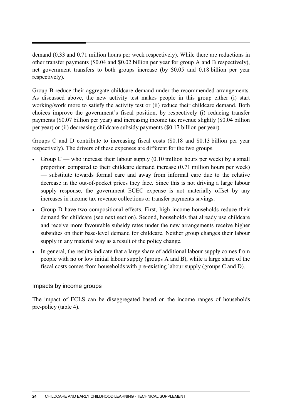demand (0.33 and 0.71 million hours per week respectively). While there are reductions in other transfer payments (\$0.04 and \$0.02 billion per year for group A and B respectively), net government transfers to both groups increase (by \$0.05 and 0.18 billion per year respectively).

Group B reduce their aggregate childcare demand under the recommended arrangements. As discussed above, the new activity test makes people in this group either (i) start working/work more to satisfy the activity test or (ii) reduce their childcare demand. Both choices improve the government's fiscal position, by respectively (i) reducing transfer payments (\$0.07 billion per year) and increasing income tax revenue slightly (\$0.04 billion per year) or (ii) decreasing childcare subsidy payments (\$0.17 billion per year).

Groups C and D contribute to increasing fiscal costs (\$0.18 and \$0.13 billion per year respectively). The drivers of these expenses are different for the two groups.

- Group  $C$  who increase their labour supply  $(0.10 \text{ million hours per week})$  by a small proportion compared to their childcare demand increase (0.71 million hours per week) — substitute towards formal care and away from informal care due to the relative decrease in the out-of-pocket prices they face. Since this is not driving a large labour supply response, the government ECEC expense is not materially offset by any increases in income tax revenue collections or transfer payments savings.
- Group D have two compositional effects. First, high income households reduce their demand for childcare (see next section). Second, households that already use childcare and receive more favourable subsidy rates under the new arrangements receive higher subsidies on their base-level demand for childcare. Neither group changes their labour supply in any material way as a result of the policy change.
- In general, the results indicate that a large share of additional labour supply comes from people with no or low initial labour supply (groups A and B), while a large share of the fiscal costs comes from households with pre-existing labour supply (groups C and D).

### Impacts by income groups

The impact of ECLS can be disaggregated based on the income ranges of households pre-policy (table 4).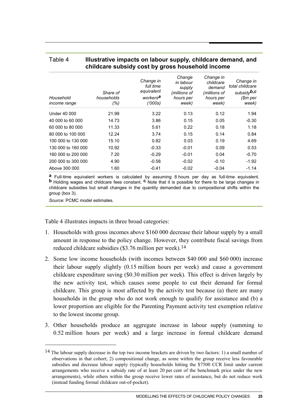### Table 4 **Illustrative impacts on labour supply, childcare demand, and childcare subsidy cost by gross household income**

| Household<br><i>income range</i> | Share of<br>households<br>(% ) | Change in<br>full time<br>equivalent<br>workers <sup>a</sup><br>(1000s) | Change<br>in labour<br>supply<br>(millions of<br>hours per<br>week) | Change in<br>childcare<br>demand<br>(millions of<br>hours per<br>week) | Change in<br>total childcare<br>subsidy <sup>b,c</sup><br>\$m per<br>week) |
|----------------------------------|--------------------------------|-------------------------------------------------------------------------|---------------------------------------------------------------------|------------------------------------------------------------------------|----------------------------------------------------------------------------|
| Under 40 000                     | 21.99                          | 3.22                                                                    | 0.13                                                                | 0.12                                                                   | 1.94                                                                       |
| 40 000 to 60 000                 | 14.73                          | 3.86                                                                    | 0.15                                                                | 0.05                                                                   | $-0.30$                                                                    |
| 60 000 to 80 000                 | 11.33                          | 5.61                                                                    | 0.22                                                                | 0.18                                                                   | 1.18                                                                       |
| 80 000 to 100 000                | 12.24                          | 3.74                                                                    | 0.15                                                                | 0.14                                                                   | 0.84                                                                       |
| 100 000 to 130 000               | 15.10                          | 0.82                                                                    | 0.03                                                                | 0.19                                                                   | 4.69                                                                       |
| 130 000 to 160 000               | 10.92                          | $-0.33$                                                                 | $-0.01$                                                             | 0.09                                                                   | 0.53                                                                       |
| 160 000 to 200 000               | 7.20                           | $-0.29$                                                                 | $-0.01$                                                             | 0.04                                                                   | $-0.70$                                                                    |
| 200 000 to 300 000               | 4.90                           | $-0.58$                                                                 | $-0.02$                                                             | $-0.10$                                                                | $-1.92$                                                                    |
| Above 300 000                    | 1.60                           | $-0.41$                                                                 | $-0.02$                                                             | $-0.04$                                                                | $-1.14$                                                                    |

**<sup>a</sup>** Full-time equivalent workers is calculated by assuming 8 hours per day as full-time equivalent. **<sup>b</sup>** Holding wages and childcare fees constant. **<sup>c</sup>** Note that it is possible for there to be large changes in childcare subsidies but small changes in the quantity demanded due to compositional shifts within the group (box 3).

*Source*: PCMC model estimates.

-

Table 4 illustrates impacts in three broad categories:

- 1. Households with gross incomes above \$160 000 decrease their labour supply by a small amount in response to the policy change. However, they contribute fiscal savings from reduced childcare subsidies (\$3.76 million per week).<sup>[14](#page-26-0)</sup>
- 2. Some low income households (with incomes between \$40 000 and \$60 000) increase their labour supply slightly (0.15 million hours per week) and cause a government childcare expenditure saving (\$0.30 million per week). This effect is driven largely by the new activity test, which causes some people to cut their demand for formal childcare. This group is most affected by the activity test because (a) there are many households in the group who do not work enough to qualify for assistance and (b) a lower proportion are eligible for the Parenting Payment activity test exemption relative to the lowest income group.
- 3. Other households produce an aggregate increase in labour supply (summing to 0.52 million hours per week) and a large increase in formal childcare demand

<span id="page-26-0"></span><sup>&</sup>lt;sup>14</sup> The labour supply decrease in the top two income brackets are driven by two factors: 1) a small number of observations in that cohort; 2) compositional change, as some within the group receive less favourable subsidies and decrease labour supply (typically households hitting the \$7500 CCR limit under current arrangements who receive a subsidy rate of at least 20 per cent of the benchmark price under the new arrangements), while others within the group receive lower rates of assistance, but do not reduce work (instead funding formal childcare out-of-pocket).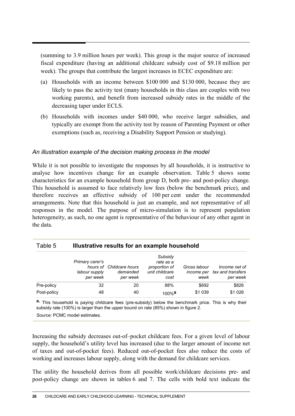(summing to 3.9 million hours per week). This group is the major source of increased fiscal expenditure (having an additional childcare subsidy cost of \$9.18 million per week). The groups that contribute the largest increases in ECEC expenditure are:

- (a) Households with an income between \$100 000 and \$130 000, because they are likely to pass the activity test (many households in this class are couples with two working parents), and benefit from increased subsidy rates in the middle of the decreasing taper under ECLS.
- (b) Households with incomes under \$40 000, who receive larger subsidies, and typically are exempt from the activity test by reason of Parenting Payment or other exemptions (such as, receiving a Disability Support Pension or studying).

### *An illustration example of the decision making process in the model*

While it is not possible to investigate the responses by all households, it is instructive to analyse how incentives change for an example observation. Table 5 shows some characteristics for an example household from group D, both pre- and post-policy change. This household is assumed to face relatively low fees (below the benchmark price), and therefore receives an effective subsidy of 100 per cent under the recommended arrangements. Note that this household is just an example, and not representative of all responses in the model. The purpose of micro-simulation is to represent population heterogeneity, as such, no one agent is representative of the behaviour of any other agent in the data.

| Table 5     | Illustrative results for an example household |                                                  |                                                                 |                      |                                                           |  |  |  |
|-------------|-----------------------------------------------|--------------------------------------------------|-----------------------------------------------------------------|----------------------|-----------------------------------------------------------|--|--|--|
|             | Primary carer's<br>labour supply<br>per week  | hours of Childcare hours<br>demanded<br>per week | Subsidy<br>rate as a<br>proportion of<br>unit childcare<br>cost | Gross labour<br>week | Income net of<br>income per tax and transfers<br>per week |  |  |  |
| Pre-policy  | 32                                            | 20                                               | 88%                                                             | \$692                | \$826                                                     |  |  |  |
| Post-policy | 48                                            | 40                                               | $100\%$ a                                                       | \$1 039              | \$1 0 26                                                  |  |  |  |

**a.** This household is paying childcare fees (pre-subsidy) below the benchmark price. This is why their subsidy rate (100%) is larger than the upper bound on rate (85%) shown in figure 2.

*Source*: PCMC model estimates.

Increasing the subsidy decreases out-of–pocket childcare fees. For a given level of labour supply, the household's utility level has increased (due to the larger amount of income net of taxes and out-of-pocket fees). Reduced out-of-pocket fees also reduce the costs of working and increases labour supply, along with the demand for childcare services.

The utility the household derives from all possible work/childcare decisions pre- and post-policy change are shown in tables 6 and 7. The cells with bold text indicate the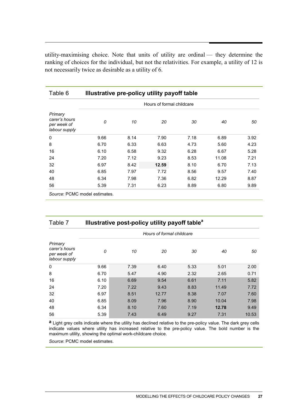utility-maximising choice. Note that units of utility are ordinal — they determine the ranking of choices for the individual, but not the relativities. For example, a utility of 12 is not necessarily twice as desirable as a utility of 6.

| Table 6                                                  | Illustrative pre-policy utility payoff table |      |                           |      |       |      |
|----------------------------------------------------------|----------------------------------------------|------|---------------------------|------|-------|------|
|                                                          |                                              |      | Hours of formal childcare |      |       |      |
| Primary<br>carer's hours<br>per week of<br>labour supply | 0                                            | 10   | 20                        | 30   | 40    | 50   |
| $\mathbf 0$                                              | 9.66                                         | 8.14 | 7.90                      | 7.18 | 6.89  | 3.92 |
| 8                                                        | 6.70                                         | 6.33 | 6.63                      | 4.73 | 5.60  | 4.23 |
| 16                                                       | 6.10                                         | 6.58 | 9.32                      | 6.28 | 6.67  | 5.28 |
| 24                                                       | 7.20                                         | 7.12 | 9.23                      | 8.53 | 11.08 | 7.21 |
| 32                                                       | 6.97                                         | 8.42 | 12.59                     | 8.10 | 6.70  | 7.13 |
| 40                                                       | 6.85                                         | 7.97 | 7.72                      | 8.56 | 9.57  | 7.40 |
| 48                                                       | 6.34                                         | 7.98 | 7.36                      | 6.82 | 12.29 | 8.87 |
| 56                                                       | 5.39                                         | 7.31 | 6.23                      | 8.89 | 6.80  | 9.89 |

*Source*: PCMC model estimates.

| Table 7                                                  |      | Illustrative post-policy utility payoff table <sup>a</sup> |                           |      |       |       |
|----------------------------------------------------------|------|------------------------------------------------------------|---------------------------|------|-------|-------|
|                                                          |      |                                                            | Hours of formal childcare |      |       |       |
| Primary<br>carer's hours<br>per week of<br>labour supply | 0    | 10                                                         | 20                        | 30   | 40    | 50    |
| 0                                                        | 9.66 | 7.39                                                       | 6.40                      | 5.33 | 5.01  | 2.00  |
| 8                                                        | 6.70 | 5.47                                                       | 4.90                      | 2.32 | 2.65  | 0.71  |
| 16                                                       | 6.10 | 6.69                                                       | 9.54                      | 6.61 | 7.11  | 5.82  |
| 24                                                       | 7.20 | 7.22                                                       | 9.43                      | 8.83 | 11.49 | 7.72  |
| 32                                                       | 6.97 | 8.51                                                       | 12.77                     | 8.38 | 7.07  | 7.60  |
| 40                                                       | 6.85 | 8.09                                                       | 7.96                      | 8.90 | 10.04 | 7.98  |
| 48                                                       | 6.34 | 8.10                                                       | 7.60                      | 7.19 | 12.78 | 9.49  |
| 56                                                       | 5.39 | 7.43                                                       | 6.49                      | 9.27 | 7.31  | 10.53 |

**a** Light grey cells indicate where the utility has declined relative to the pre-policy value. The dark grey cells indicate values where utility has increased relative to the pre-policy value. The bold number is the maximum utility, showing the optimal work-childcare choice.

*Source*: PCMC model estimates.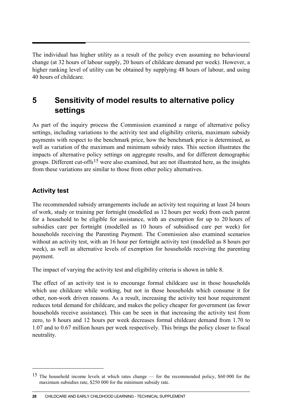The individual has higher utility as a result of the policy even assuming no behavioural change (at 32 hours of labour supply, 20 hours of childcare demand per week). However, a higher ranking level of utility can be obtained by supplying 48 hours of labour, and using 40 hours of childcare.

# **5 Sensitivity of model results to alternative policy settings**

As part of the inquiry process the Commission examined a range of alternative policy settings, including variations to the activity test and eligibility criteria, maximum subsidy payments with respect to the benchmark price, how the benchmark price is determined, as well as variation of the maximum and minimum subsidy rates. This section illustrates the impacts of alternative policy settings on aggregate results, and for different demographic groups. Different cut-offs<sup>[15](#page-29-0)</sup> were also examined, but are not illustrated here, as the insights from these variations are similar to those from other policy alternatives.

## **Activity test**

 $\overline{a}$ 

The recommended subsidy arrangements include an activity test requiring at least 24 hours of work, study or training per fortnight (modelled as 12 hours per week) from each parent for a household to be eligible for assistance, with an exemption for up to 20 hours of subsidies care per fortnight (modelled as 10 hours of subsidised care per week) for households receiving the Parenting Payment. The Commission also examined scenarios without an activity test, with an 16 hour per fortnight activity test (modelled as 8 hours per week), as well as alternative levels of exemption for households receiving the parenting payment.

The impact of varying the activity test and eligibility criteria is shown in table 8.

The effect of an activity test is to encourage formal childcare use in those households which use childcare while working, but not in those households which consume it for other, non-work driven reasons. As a result, increasing the activity test hour requirement reduces total demand for childcare, and makes the policy cheaper for government (as fewer households receive assistance). This can be seen in that increasing the activity test from zero, to 8 hours and 12 hours per week decreases formal childcare demand from 1.70 to 1.07 and to 0.67 million hours per week respectively. This brings the policy closer to fiscal neutrality.

<span id="page-29-0"></span><sup>&</sup>lt;sup>15</sup> The household income levels at which rates change — for the recommended policy, \$60,000 for the maximum subsidies rate, \$250 000 for the minimum subsidy rate.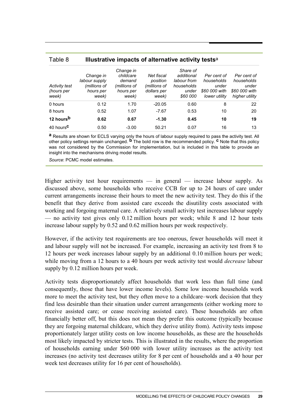| ania o                               |                                                                  | $m$ and $m$ in $m$ and $m$ and $m$ and $m$ and $m$ are $m$             |                                                                |                                                                          |                                                                      |                                                                       |  |  |
|--------------------------------------|------------------------------------------------------------------|------------------------------------------------------------------------|----------------------------------------------------------------|--------------------------------------------------------------------------|----------------------------------------------------------------------|-----------------------------------------------------------------------|--|--|
| Activity test<br>(hours per<br>week) | Change in<br>labour supply<br>(millions of<br>hours per<br>week) | Change in<br>childcare<br>demand<br>(millions of<br>hours per<br>week) | Net fiscal<br>position<br>(millions of<br>dollars per<br>week) | Share of<br>additional<br>labour from<br>households<br>under<br>\$60 000 | Per cent of<br>households<br>under<br>\$60 000 with<br>lower utility | Per cent of<br>households<br>under<br>\$60 000 with<br>higher utility |  |  |
| 0 hours                              | 0.12                                                             | 1.70                                                                   | $-20.05$                                                       | 0.60                                                                     | 8                                                                    | 22                                                                    |  |  |
| 8 hours                              | 0.52                                                             | 1.07                                                                   | $-7.67$                                                        | 0.53                                                                     | 10                                                                   | 20                                                                    |  |  |
| 12 hours <sup>b</sup>                | 0.62                                                             | 0.67                                                                   | $-1.30$                                                        | 0.45                                                                     | 10                                                                   | 19                                                                    |  |  |
| 40 hours <sup>C</sup>                | 0.50                                                             | $-3.00$                                                                | 50.21                                                          | 0.07                                                                     | 16                                                                   | 13                                                                    |  |  |

### Table 8 **Illustrative impacts of alternative activity tests**<sup>a</sup>

**a** Results are shown for ECLS varying only the hours of labour supply required to pass the activity test. All other policy settings remain unchanged. **b** The bold row is the recommended policy. **c** Note that this policy was not considered by the Commission for implementation, but is included in this table to provide an insight into the mechanisms driving model results.

*Source*: PCMC model estimates.

Higher activity test hour requirements — in general — increase labour supply. As discussed above, some households who receive CCB for up to 24 hours of care under current arrangements increase their hours to meet the new activity test. They do this if the benefit that they derive from assisted care exceeds the disutility costs associated with working and forgoing maternal care. A relatively small activity test increases labour supply — no activity test gives only 0.12 million hours per week; while 8 and 12 hour tests increase labour supply by 0.52 and 0.62 million hours per week respectively.

However, if the activity test requirements are too onerous, fewer households will meet it and labour supply will not be increased. For example, increasing an activity test from 8 to 12 hours per week increases labour supply by an additional 0.10 million hours per week; while moving from a 12 hours to a 40 hours per week activity test would *decrease* labour supply by 0.12 million hours per week.

Activity tests disproportionately affect households that work less than full time (and consequently, those that have lower income levels). Some low income households work more to meet the activity test, but they often move to a childcare–work decision that they find less desirable than their situation under current arrangements (either working more to receive assisted care; or cease receiving assisted care). These households are often financially better off, but this does not mean they prefer this outcome (typically because they are forgoing maternal childcare, which they derive utility from). Activity tests impose proportionately larger utility costs on low income households, as these are the households most likely impacted by stricter tests. This is illustrated in the results, where the proportion of households earning under \$60 000 with lower utility increases as the activity test increases (no activity test decreases utility for 8 per cent of households and a 40 hour per week test decreases utility for 16 per cent of households).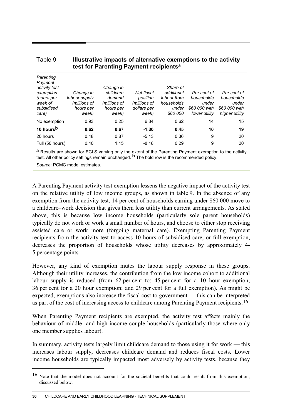|                                                                                                    | test for Parenting Payment recipients <sup>a</sup>               |                                                                        |                                                                |                                                                          |                                                                      |                                                                       |  |  |
|----------------------------------------------------------------------------------------------------|------------------------------------------------------------------|------------------------------------------------------------------------|----------------------------------------------------------------|--------------------------------------------------------------------------|----------------------------------------------------------------------|-----------------------------------------------------------------------|--|--|
| Parenting<br>Payment<br>activity test<br>exemption<br>(hours per<br>week of<br>subsidised<br>care) | Change in<br>labour supply<br>(millions of<br>hours per<br>week) | Change in<br>childcare<br>demand<br>(millions of<br>hours per<br>week) | Net fiscal<br>position<br>(millions of<br>dollars per<br>week) | Share of<br>additional<br>labour from<br>households<br>under<br>\$60 000 | Per cent of<br>households<br>under<br>\$60 000 with<br>lower utility | Per cent of<br>households<br>under<br>\$60 000 with<br>higher utility |  |  |
| No exemption                                                                                       | 0.93                                                             | 0.25                                                                   | 6.34                                                           | 0.62                                                                     | 14                                                                   | 15                                                                    |  |  |
| 10 hours <sup>b</sup>                                                                              | 0.62                                                             | 0.67                                                                   | $-1.30$                                                        | 0.45                                                                     | 10                                                                   | 19                                                                    |  |  |
| 20 hours                                                                                           | 0.48                                                             | 0.87                                                                   | $-5.13$                                                        | 0.36                                                                     | 9                                                                    | 20                                                                    |  |  |
| Full (50 hours)                                                                                    | 0.40                                                             | 1.15                                                                   | $-8.18$                                                        | 0.29                                                                     | 9                                                                    | 20                                                                    |  |  |

# Table 9 **Illustrative impacts of alternative exemptions to the activity**

**a** Results are shown for ECLS varying only the extent of the Parenting Payment exemption to the activity test. All other policy settings remain unchanged. **b** The bold row is the recommended policy. *Source*: PCMC model estimates.

A Parenting Payment activity test exemption lessens the negative impact of the activity test on the relative utility of low income groups, as shown in table 9. In the absence of any exemption from the activity test, 14 per cent of households earning under \$60 000 move to a childcare–work decision that gives them less utility than current arrangements. As stated above, this is because low income households (particularly sole parent households) typically do not work or work a small number of hours, and choose to either stop receiving assisted care or work more (forgoing maternal care). Exempting Parenting Payment recipients from the activity test to access 10 hours of subsidised care, or full exemption, decreases the proportion of households whose utility decreases by approximately 4- 5 percentage points.

However, any kind of exemption mutes the labour supply response in these groups. Although their utility increases, the contribution from the low income cohort to additional labour supply is reduced (from 62 per cent to: 45 per cent for a 10 hour exemption; 36 per cent for a 20 hour exemption; and 29 per cent for a full exemption). As might be expected, exemptions also increase the fiscal cost to government — this can be interpreted as part of the cost of increasing access to childcare among Parenting Payment recipients.<sup>[16](#page-31-0)</sup>

When Parenting Payment recipients are exempted, the activity test affects mainly the behaviour of middle- and high-income couple households (particularly those where only one member supplies labour).

In summary, activity tests largely limit childcare demand to those using it for work — this increases labour supply, decreases childcare demand and reduces fiscal costs. Lower income households are typically impacted most adversely by activity tests, because they

 $\overline{a}$ 

<span id="page-31-0"></span><sup>16</sup> Note that the model does not account for the societal benefits that could result from this exemption, discussed below.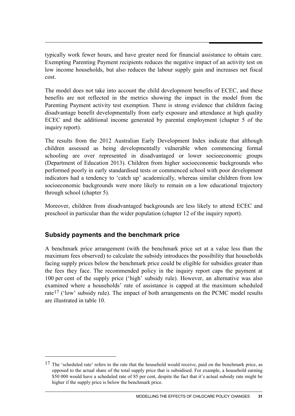typically work fewer hours, and have greater need for financial assistance to obtain care. Exempting Parenting Payment recipients reduces the negative impact of an activity test on low income households, but also reduces the labour supply gain and increases net fiscal cost.

The model does not take into account the child development benefits of ECEC, and these benefits are not reflected in the metrics showing the impact in the model from the Parenting Payment activity test exemption. There is strong evidence that children facing disadvantage benefit developmentally from early exposure and attendance at high quality ECEC and the additional income generated by parental employment (chapter 5 of the inquiry report).

The results from the 2012 Australian Early Development Index indicate that although children assessed as being developmentally vulnerable when commencing formal schooling are over represented in disadvantaged or lower socioeconomic groups (Department of Education 2013). Children from higher socioeconomic backgrounds who performed poorly in early standardised tests or commenced school with poor development indicators had a tendency to 'catch up' academically, whereas similar children from low socioeconomic backgrounds were more likely to remain on a low educational trajectory through school (chapter 5).

Moreover, children from disadvantaged backgrounds are less likely to attend ECEC and preschool in particular than the wider population (chapter 12 of the inquiry report).

## **Subsidy payments and the benchmark price**

-

A benchmark price arrangement (with the benchmark price set at a value less than the maximum fees observed) to calculate the subsidy introduces the possibility that households facing supply prices below the benchmark price could be eligible for subsidies greater than the fees they face. The recommended policy in the inquiry report caps the payment at 100 per cent of the supply price ('high' subsidy rule). However, an alternative was also examined where a households' rate of assistance is capped at the maximum scheduled rate<sup>[17](#page-32-0)</sup> ('low' subsidy rule). The impact of both arrangements on the PCMC model results are illustrated in table 10.

<span id="page-32-0"></span><sup>&</sup>lt;sup>17</sup> The 'scheduled rate' refers to the rate that the household would receive, paid on the benchmark price, as opposed to the actual share of the total supply price that is subsidised. For example, a household earning \$50 000 would have a scheduled rate of 85 per cent, despite the fact that it's actual subsidy rate might be higher if the supply price is below the benchmark price.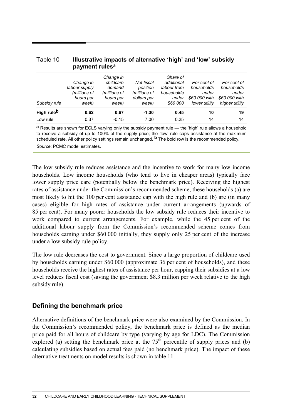| payment rules <sup>a</sup> |                                                                  |                                                                        |                                                                |                                                                          |                                                                      |                                                                       |  |
|----------------------------|------------------------------------------------------------------|------------------------------------------------------------------------|----------------------------------------------------------------|--------------------------------------------------------------------------|----------------------------------------------------------------------|-----------------------------------------------------------------------|--|
| Subsidy rule               | Change in<br>labour supply<br>(millions of<br>hours per<br>week) | Change in<br>childcare<br>demand<br>(millions of<br>hours per<br>week) | Net fiscal<br>position<br>(millions of<br>dollars per<br>week) | Share of<br>additional<br>labour from<br>households<br>under<br>\$60 000 | Per cent of<br>households<br>under<br>\$60 000 with<br>lower utility | Per cent of<br>households<br>under<br>\$60 000 with<br>higher utility |  |
| High rule <sup>b</sup>     | 0.62                                                             | 0.67                                                                   | $-1.30$                                                        | 0.45                                                                     | 10                                                                   | 19                                                                    |  |
| Low rule                   | 0.37                                                             | $-0.15$                                                                | 7.00                                                           | 0.25                                                                     | 14                                                                   | 14                                                                    |  |

# Table 10 **Illustrative impacts of alternative 'high' and 'low' subsidy**

**a** Results are shown for ECLS varying only the subsidy payment rule — the 'high' rule allows a household to receive a subsidy of up to 100% of the supply price; the 'low' rule caps assistance at the maximum scheduled rate. All other policy settings remain unchanged. **b** The bold row is the recommended policy. *Source*: PCMC model estimates.

The low subsidy rule reduces assistance and the incentive to work for many low income households. Low income households (who tend to live in cheaper areas) typically face lower supply price care (potentially below the benchmark price). Receiving the highest rates of assistance under the Commission's recommended scheme, these households (a) are most likely to hit the 100 per cent assistance cap with the high rule and (b) are (in many cases) eligible for high rates of assistance under current arrangements (upwards of 85 per cent). For many poorer households the low subsidy rule reduces their incentive to work compared to current arrangements. For example, while the 45 per cent of the additional labour supply from the Commission's recommended scheme comes from households earning under \$60 000 initially, they supply only 25 per cent of the increase under a low subsidy rule policy.

The low rule decreases the cost to government. Since a large proportion of childcare used by households earning under \$60 000 (approximate 36 per cent of households), and these households receive the highest rates of assistance per hour, capping their subsidies at a low level reduces fiscal cost (saving the government \$8.3 million per week relative to the high subsidy rule).

## **Defining the benchmark price**

Alternative definitions of the benchmark price were also examined by the Commission. In the Commission's recommended policy, the benchmark price is defined as the median price paid for all hours of childcare by type (varying by age for LDC). The Commission explored (a) setting the benchmark price at the  $75<sup>th</sup>$  percentile of supply prices and (b) calculating subsidies based on actual fees paid (no benchmark price). The impact of these alternative treatments on model results is shown in table 11.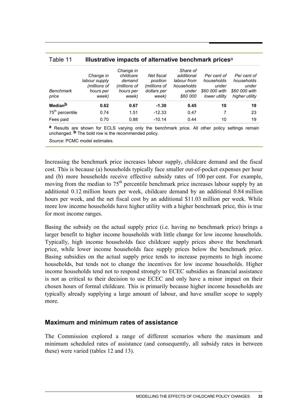|               | Change in    |              | Share of    |               |                |
|---------------|--------------|--------------|-------------|---------------|----------------|
| Change in     | childcare    | Net fiscal   | additional  | Per cent of   | Per cent of    |
| labour supply | demand       | position     | labour from | households    | households     |
| (millions of  | (millions of | (millions of | households  | under         | under          |
| hours per     | hours per    | dollars per  | under       | \$60 000 with | \$60 000 with  |
| week)         | week)        | week)        | \$60 000    | lower utility | higher utility |
| 0.62          | 0.67         | $-1.30$      | 0.45        | 10            | 19             |
| 0.74          | 1.51         | $-12.33$     | 0.47        |               | 23             |
| 0.70          | 0.88         | $-10.14$     | 0.44        | 10            | 19             |
|               |              |              |             |               |                |

| Table 11 | Illustrative impacts of alternative benchmark prices <sup>a</sup> |  |  |
|----------|-------------------------------------------------------------------|--|--|
|----------|-------------------------------------------------------------------|--|--|

**a** Results are shown for ECLS varying only the benchmark price. All other policy settings remain unchanged. **b** The bold row is the recommended policy.

*Source*: PCMC model estimates.

Increasing the benchmark price increases labour supply, childcare demand and the fiscal cost. This is because (a) households typically face smaller out-of-pocket expenses per hour and (b) more households receive effective subsidy rates of 100 per cent. For example, moving from the median to  $75<sup>th</sup>$  percentile benchmark price increases labour supply by an additional 0.12 million hours per week, childcare demand by an additional 0.84 million hours per week, and the net fiscal cost by an additional \$11.03 million per week. While more low income households have higher utility with a higher benchmark price, this is true for most income ranges.

Basing the subsidy on the actual supply price (i.e. having no benchmark price) brings a larger benefit to higher income households with little change for low income households. Typically, high income households face childcare supply prices above the benchmark price, while lower income households face supply prices below the benchmark price. Basing subsidies on the actual supply price tends to increase payments to high income households, but tends not to change the incentives for low income households. Higher income households tend not to respond strongly to ECEC subsidies as financial assistance is not as critical to their decision to use ECEC and only have a minor impact on their chosen hours of formal childcare. This is primarily because higher income households are typically already supplying a large amount of labour, and have smaller scope to supply more.

### **Maximum and minimum rates of assistance**

The Commission explored a range of different scenarios where the maximum and minimum scheduled rates of assistance (and consequently, all subsidy rates in between these) were varied (tables 12 and 13).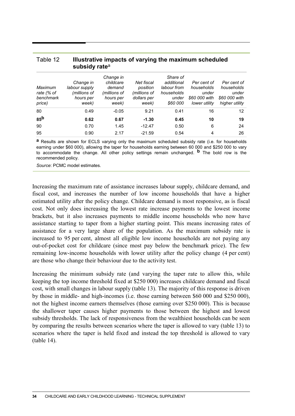| subsidy rate <sup>a</sup>                    |                                                                  |                                                                        |                                                                |                                                                          |                                                                      |                                                                       |
|----------------------------------------------|------------------------------------------------------------------|------------------------------------------------------------------------|----------------------------------------------------------------|--------------------------------------------------------------------------|----------------------------------------------------------------------|-----------------------------------------------------------------------|
| Maximum<br>rate (% of<br>benchmark<br>price) | Change in<br>labour supply<br>(millions of<br>hours per<br>week) | Change in<br>childcare<br>demand<br>(millions of<br>hours per<br>week) | Net fiscal<br>position<br>(millions of<br>dollars per<br>week) | Share of<br>additional<br>labour from<br>households<br>under<br>\$60 000 | Per cent of<br>households<br>under<br>\$60 000 with<br>lower utility | Per cent of<br>households<br>under<br>\$60 000 with<br>higher utility |
| 80                                           | 0.49                                                             | $-0.05$                                                                | 9.21                                                           | 0.41                                                                     | 16                                                                   | 12                                                                    |
| 85 <sup>b</sup>                              | 0.62                                                             | 0.67                                                                   | $-1.30$                                                        | 0.45                                                                     | 10                                                                   | 19                                                                    |
| 90                                           | 0.70                                                             | 1.45                                                                   | $-12.47$                                                       | 0.50                                                                     | 6                                                                    | 24                                                                    |
| 95                                           | 0.90                                                             | 2.17                                                                   | $-21.59$                                                       | 0.54                                                                     | 4                                                                    | 26                                                                    |

# Table 12 **Illustrative impacts of varying the maximum scheduled**

**a** Results are shown for ECLS varying only the maximum scheduled subsidy rate (i.e. for households earning under \$60 000), allowing the taper for households earning between 60 000 and \$250 000 to vary to accommodate the change. All other policy settings remain unchanged. **b** The bold row is the recommended policy.

*Source*: PCMC model estimates.

Increasing the maximum rate of assistance increases labour supply, childcare demand, and fiscal cost, and increases the number of low income households that have a higher estimated utility after the policy change. Childcare demand is most responsive, as is fiscal cost. Not only does increasing the lowest rate increase payments to the lowest income brackets, but it also increases payments to middle income households who now have assistance starting to taper from a higher starting point. This means increasing rates of assistance for a very large share of the population. As the maximum subsidy rate is increased to 95 per cent, almost all eligible low income households are not paying any out-of-pocket cost for childcare (since most pay below the benchmark price). The few remaining low-income households with lower utility after the policy change (4 per cent) are those who change their behaviour due to the activity test.

Increasing the minimum subsidy rate (and varying the taper rate to allow this, while keeping the top income threshold fixed at \$250 000) increases childcare demand and fiscal cost, with small changes in labour supply (table 13). The majority of this response is driven by those in middle- and high-incomes (i.e. those earning between \$60 000 and \$250 000), not the highest income earners themselves (those earning over \$250 000). This is because the shallower taper causes higher payments to those between the highest and lowest subsidy thresholds. The lack of responsiveness from the wealthiest households can be seen by comparing the results between scenarios where the taper is allowed to vary (table 13) to scenarios where the taper is held fixed and instead the top threshold is allowed to vary (table 14).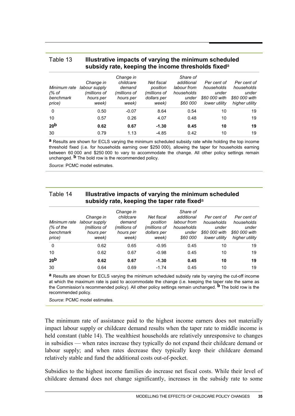| subsidy rate, keeping the income thresholds fixed <sup>a</sup> |                                                                  |                                                                        |                                                                |                                                                          |                                                                      |                                                                       |
|----------------------------------------------------------------|------------------------------------------------------------------|------------------------------------------------------------------------|----------------------------------------------------------------|--------------------------------------------------------------------------|----------------------------------------------------------------------|-----------------------------------------------------------------------|
| Minimum rate<br>(% of<br>benchmark<br>price)                   | Change in<br>labour supply<br>(millions of<br>hours per<br>week) | Change in<br>childcare<br>demand<br>(millions of<br>hours per<br>week) | Net fiscal<br>position<br>(millions of<br>dollars per<br>week) | Share of<br>additional<br>labour from<br>households<br>under<br>\$60,000 | Per cent of<br>households<br>under<br>\$60 000 with<br>lower utility | Per cent of<br>households<br>under<br>\$60 000 with<br>higher utility |
| $\Omega$                                                       | 0.50                                                             | $-0.07$                                                                | 8.64                                                           | 0.54                                                                     | 10                                                                   | 19                                                                    |
| 10                                                             | 0.57                                                             | 0.26                                                                   | 4.07                                                           | 0.48                                                                     | 10                                                                   | 19                                                                    |
| 20 <sup>b</sup>                                                | 0.62                                                             | 0.67                                                                   | $-1.30$                                                        | 0.45                                                                     | 10                                                                   | 19                                                                    |
| 30                                                             | 0.79                                                             | 1.13                                                                   | $-4.85$                                                        | 0.42                                                                     | 10                                                                   | 19                                                                    |

# Table 13 **Illustrative impacts of varying the minimum scheduled**

**a** Results are shown for ECLS varying the minimum scheduled subsidy rate while holding the top income threshold fixed (i.e. for households earning over \$250 000), allowing the taper for households earning between 60 000 and \$250 000 to vary to accommodate the change. All other policy settings remain unchanged. **b** The bold row is the recommended policy.

*Source*: PCMC model estimates.

### Table 14 **Illustrative impacts of varying the minimum scheduled subsidy rate, keeping the taper rate fixed**<sup>a</sup>

| Minimum rate<br>$%$ of the<br>benchmark<br>price) | Change in<br>labour supply<br>(millions of<br>hours per<br>week) | Change in<br>childcare<br>demand<br>(millions of<br>hours per<br>week) | Net fiscal<br>position<br>(millions of<br>dollars per<br>week) | Share of<br>additional<br>labour from<br>households<br>under<br>\$60 000 | Per cent of<br>households<br>under<br>\$60 000 with<br>lower utility | Per cent of<br>households<br>under<br>\$60 000 with<br>higher utility |
|---------------------------------------------------|------------------------------------------------------------------|------------------------------------------------------------------------|----------------------------------------------------------------|--------------------------------------------------------------------------|----------------------------------------------------------------------|-----------------------------------------------------------------------|
| $\Omega$                                          | 0.62                                                             | 0.65                                                                   | $-0.95$                                                        | 0.45                                                                     | 10                                                                   | 19                                                                    |
| 10                                                | 0.62                                                             | 0.67                                                                   | $-0.98$                                                        | 0.45                                                                     | 10                                                                   | 19                                                                    |
| 20 <sup>b</sup>                                   | 0.62                                                             | 0.67                                                                   | $-1.30$                                                        | 0.45                                                                     | 10                                                                   | 19                                                                    |
| 30                                                | 0.64                                                             | 0.69                                                                   | $-1.74$                                                        | 0.45                                                                     | 10                                                                   | 19                                                                    |

**a** Results are shown for ECLS varying the minimum scheduled subsidy rate by varying the cut-off income at which the maximum rate is paid to accommodate the change (i.e. keeping the taper rate the same as the Commission's recommended policy). All other policy settings remain unchanged. **b** The bold row is the recommended policy.

*Source*: PCMC model estimates.

The minimum rate of assistance paid to the highest income earners does not materially impact labour supply or childcare demand results when the taper rate to middle income is held constant (table 14). The wealthiest households are relatively unresponsive to changes in subsidies — when rates increase they typically do not expand their childcare demand or labour supply; and when rates decrease they typically keep their childcare demand relatively stable and fund the additional costs out-of-pocket.

Subsidies to the highest income families do increase net fiscal costs. While their level of childcare demand does not change significantly, increases in the subsidy rate to some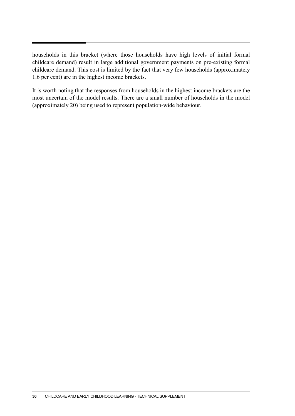households in this bracket (where those households have high levels of initial formal childcare demand) result in large additional government payments on pre-existing formal childcare demand. This cost is limited by the fact that very few households (approximately 1.6 per cent) are in the highest income brackets.

It is worth noting that the responses from households in the highest income brackets are the most uncertain of the model results. There are a small number of households in the model (approximately 20) being used to represent population-wide behaviour.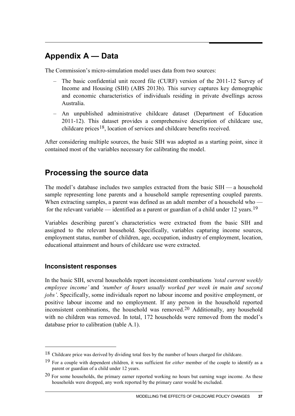# **Appendix A — Data**

The Commission's micro-simulation model uses data from two sources:

- The basic confidential unit record file (CURF) version of the 2011-12 Survey of Income and Housing (SIH) (ABS 2013b). This survey captures key demographic and economic characteristics of individuals residing in private dwellings across Australia.
- An unpublished administrative childcare dataset (Department of Education 2011-12). This dataset provides a comprehensive description of childcare use, childcare prices[18,](#page-38-0) location of services and childcare benefits received.

After considering multiple sources, the basic SIH was adopted as a starting point, since it contained most of the variables necessary for calibrating the model.

# **Processing the source data**

The model's database includes two samples extracted from the basic SIH — a household sample representing lone parents and a household sample representing coupled parents. When extracting samples, a parent was defined as an adult member of a household who — for the relevant variable — identified as a parent or guardian of a child under 12 years.<sup>[19](#page-38-1)</sup>

Variables describing parent's characteristics were extracted from the basic SIH and assigned to the relevant household. Specifically, variables capturing income sources, employment status, number of children, age, occupation, industry of employment, location, educational attainment and hours of childcare use were extracted.

## **Inconsistent responses**

-

In the basic SIH, several households report inconsistent combinations *'total current weekly employee income'* and *'number of hours usually worked per week in main and second jobs'*. Specifically, some individuals report no labour income and positive employment, or positive labour income and no employment. If any person in the household reported inconsistent combinations, the household was removed.[20](#page-38-2) Additionally, any household with no children was removed. In total, 172 households were removed from the model's database prior to calibration (table A.1).

<span id="page-38-0"></span><sup>&</sup>lt;sup>18</sup> Childcare price was derived by dividing total fees by the number of hours charged for childcare.

<span id="page-38-1"></span><sup>19</sup> For a couple with dependent children, it was sufficient for *either* member of the couple to identify as a parent or guardian of a child under 12 years.

<span id="page-38-2"></span> $20$  For some households, the primary earner reported working no hours but earning wage income. As these households were dropped, any work reported by the primary carer would be excluded.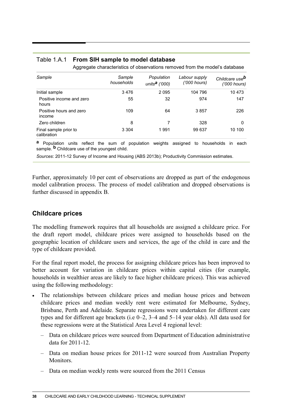| Aggregate characteristics of observations removed from the model's database |                      |                                         |                               |                                            |
|-----------------------------------------------------------------------------|----------------------|-----------------------------------------|-------------------------------|--------------------------------------------|
| Sample                                                                      | Sample<br>households | Population<br>units <sup>a</sup> ('000) | Labour supply<br>('000 hours) | Childcare use <sup>b</sup><br>('000 hours) |
| Initial sample                                                              | 3476                 | 2095                                    | 104 796                       | 10 473                                     |
| Positive income and zero<br>hours                                           | 55                   | 32                                      | 974                           | 147                                        |
| Positive hours and zero<br>income                                           | 109                  | 64                                      | 3857                          | 226                                        |
| Zero children                                                               | 8                    |                                         | 328                           | 0                                          |
| Final sample prior to<br>calibration                                        | 3 3 0 4              | 1991                                    | 99 637                        | 10 100                                     |

### Table 1.A.1 **From SIH sample to model database**

**a** Population units reflect the sum of population weights assigned to households in each sample. **b** Childcare use of the youngest child.

*Sources*: 2011-12 Survey of Income and Housing (ABS 2013b); Productivity Commission estimates.

Further, approximately 10 per cent of observations are dropped as part of the endogenous model calibration process. The process of model calibration and dropped observations is further discussed in appendix B.

## **Childcare prices**

The modelling framework requires that all households are assigned a childcare price. For the draft report model, childcare prices were assigned to households based on the geographic location of childcare users and services, the age of the child in care and the type of childcare provided.

For the final report model, the process for assigning childcare prices has been improved to better account for variation in childcare prices within capital cities (for example, households in wealthier areas are likely to face higher childcare prices). This was achieved using the following methodology:

- The relationships between childcare prices and median house prices and between childcare prices and median weekly rent were estimated for Melbourne, Sydney, Brisbane, Perth and Adelaide. Separate regressions were undertaken for different care types and for different age brackets (i.e 0–2, 3–4 and 5–14 year olds). All data used for these regressions were at the Statistical Area Level 4 regional level:
	- Data on childcare prices were sourced from Department of Education administrative data for 2011-12.
	- Data on median house prices for 2011-12 were sourced from Australian Property Monitors.
	- Data on median weekly rents were sourced from the 2011 Census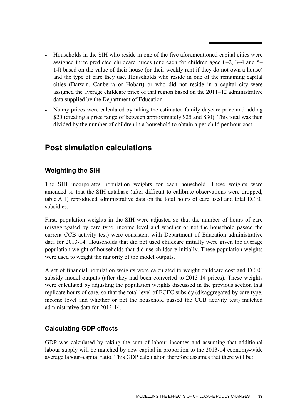- Households in the SIH who reside in one of the five aforementioned capital cities were assigned three predicted childcare prices (one each for children aged 0–2, 3–4 and 5– 14) based on the value of their house (or their weekly rent if they do not own a house) and the type of care they use. Households who reside in one of the remaining capital cities (Darwin, Canberra or Hobart) or who did not reside in a capital city were assigned the average childcare price of that region based on the 2011–12 administrative data supplied by the Department of Education.
- Nanny prices were calculated by taking the estimated family daycare price and adding \$20 (creating a price range of between approximately \$25 and \$30). This total was then divided by the number of children in a household to obtain a per child per hour cost.

# **Post simulation calculations**

# **Weighting the SIH**

The SIH incorporates population weights for each household. These weights were amended so that the SIH database (after difficult to calibrate observations were dropped, table A.1) reproduced administrative data on the total hours of care used and total ECEC subsidies.

First, population weights in the SIH were adjusted so that the number of hours of care (disaggregated by care type, income level and whether or not the household passed the current CCB activity test) were consistent with Department of Education administrative data for 2013-14. Households that did not used childcare initially were given the average population weight of households that did use childcare initially. These population weights were used to weight the majority of the model outputs.

A set of financial population weights were calculated to weight childcare cost and ECEC subsidy model outputs (after they had been converted to 2013-14 prices). These weights were calculated by adjusting the population weights discussed in the previous section that replicate hours of care, so that the total level of ECEC subsidy (disaggregated by care type, income level and whether or not the household passed the CCB activity test) matched administrative data for 2013-14.

## **Calculating GDP effects**

GDP was calculated by taking the sum of labour incomes and assuming that additional labour supply will be matched by new capital in proportion to the 2013-14 economy-wide average labour–capital ratio. This GDP calculation therefore assumes that there will be: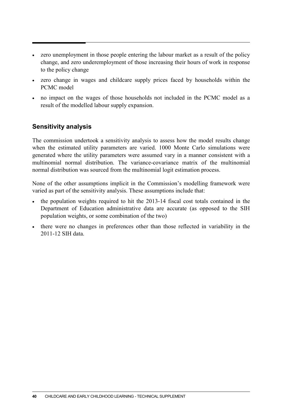- zero unemployment in those people entering the labour market as a result of the policy change, and zero underemployment of those increasing their hours of work in response to the policy change
- zero change in wages and childcare supply prices faced by households within the PCMC model
- no impact on the wages of those households not included in the PCMC model as a result of the modelled labour supply expansion.

## **Sensitivity analysis**

The commission undertook a sensitivity analysis to assess how the model results change when the estimated utility parameters are varied. 1000 Monte Carlo simulations were generated where the utility parameters were assumed vary in a manner consistent with a multinomial normal distribution. The variance-covariance matrix of the multinomial normal distribution was sourced from the multinomial logit estimation process.

None of the other assumptions implicit in the Commission's modelling framework were varied as part of the sensitivity analysis. These assumptions include that:

- the population weights required to hit the 2013-14 fiscal cost totals contained in the Department of Education administrative data are accurate (as opposed to the SIH population weights, or some combination of the two)
- there were no changes in preferences other than those reflected in variability in the 2011-12 SIH data.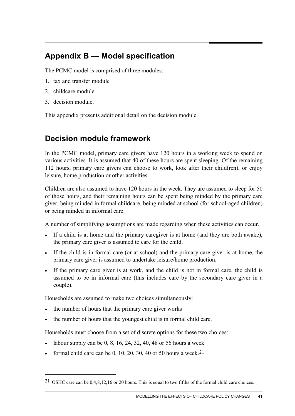# **Appendix B — Model specification**

The PCMC model is comprised of three modules:

- 1. tax and transfer module
- 2. childcare module
- 3. decision module.

-

This appendix presents additional detail on the decision module.

# **Decision module framework**

In the PCMC model, primary care givers have 120 hours in a working week to spend on various activities. It is assumed that 40 of these hours are spent sleeping. Of the remaining 112 hours, primary care givers can choose to work, look after their child(ren), or enjoy leisure, home production or other activities.

Children are also assumed to have 120 hours in the week. They are assumed to sleep for 50 of those hours, and their remaining hours can be spent being minded by the primary care giver, being minded in formal childcare, being minded at school (for school-aged children) or being minded in informal care.

A number of simplifying assumptions are made regarding when these activities can occur.

- If a child is at home and the primary caregiver is at home (and they are both awake), the primary care giver is assumed to care for the child.
- If the child is in formal care (or at school) and the primary care giver is at home, the primary care giver is assumed to undertake leisure/home production.
- If the primary care giver is at work, and the child is not in formal care, the child is assumed to be in informal care (this includes care by the secondary care giver in a couple).

Households are assumed to make two choices simultaneously:

- the number of hours that the primary care giver works
- the number of hours that the youngest child is in formal child care.

Households must choose from a set of discrete options for these two choices:

- labour supply can be  $0, 8, 16, 24, 32, 40, 48$  or 56 hours a week
- formal child care can be 0, 10, 20, 30, 40 or 50 hours a week.<sup>[21](#page-42-0)</sup>

<span id="page-42-0"></span><sup>21</sup> OSHC care can be 0,4,8,12,16 or 20 hours. This is equal to two fifths of the formal child care choices.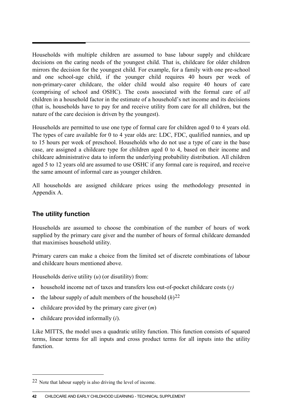Households with multiple children are assumed to base labour supply and childcare decisions on the caring needs of the youngest child. That is, childcare for older children mirrors the decision for the youngest child. For example, for a family with one pre-school and one school-age child, if the younger child requires 40 hours per week of non-primary-carer childcare, the older child would also require 40 hours of care (comprising of school and OSHC). The costs associated with the formal care of *all* children in a household factor in the estimate of a household's net income and its decisions (that is, households have to pay for and receive utility from care for all children, but the nature of the care decision is driven by the youngest).

Households are permitted to use one type of formal care for children aged 0 to 4 years old. The types of care available for 0 to 4 year olds are: LDC, FDC, qualified nannies, and up to 15 hours per week of preschool. Households who do not use a type of care in the base case, are assigned a childcare type for children aged 0 to 4, based on their income and childcare administrative data to inform the underlying probability distribution. All children aged 5 to 12 years old are assumed to use OSHC if any formal care is required, and receive the same amount of informal care as younger children.

All households are assigned childcare prices using the methodology presented in Appendix A.

## **The utility function**

Households are assumed to choose the combination of the number of hours of work supplied by the primary care giver and the number of hours of formal childcare demanded that maximises household utility.

Primary carers can make a choice from the limited set of discrete combinations of labour and childcare hours mentioned above.

Households derive utility (*u*) (or disutility) from:

- household income net of taxes and transfers less out-of-pocket childcare costs (*y)*
- the labour supply of adult members of the household  $(h)^{22}$  $(h)^{22}$  $(h)^{22}$
- childcare provided by the primary care giver (*m*)
- childcare provided informally (*i*).

 $\overline{a}$ 

Like MITTS, the model uses a quadratic utility function. This function consists of squared terms, linear terms for all inputs and cross product terms for all inputs into the utility function.

<span id="page-43-0"></span><sup>22</sup> Note that labour supply is also driving the level of income.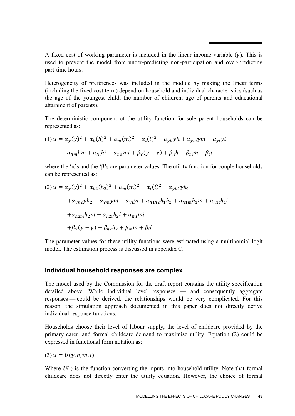A fixed cost of working parameter is included in the linear income variable  $(\gamma)$ . This is used to prevent the model from under-predicting non-participation and over-predicting part-time hours.

Heterogeneity of preferences was included in the module by making the linear terms (including the fixed cost term) depend on household and individual characteristics (such as the age of the youngest child, the number of children, age of parents and educational attainment of parents).

The deterministic component of the utility function for sole parent households can be represented as:

(1) 
$$
u = \alpha_y(y)^2 + \alpha_h(h)^2 + \alpha_m(m)^2 + \alpha_i(i)^2 + \alpha_{yh}yh + \alpha_{ym}ym + \alpha_{yi}yi
$$

$$
\alpha_{hm}hm + \alpha_{hi}hi + \alpha_{mi}mi + \beta_y(y - \gamma) + \beta_hh + \beta_m m + \beta_i i
$$

where the ' $\alpha$ 's and the ' $\beta$ 's are parameter values. The utility function for couple households can be represented as:

(2) 
$$
u = \alpha_y(y)^2 + \alpha_{h2}(h_2)^2 + \alpha_m(m)^2 + \alpha_i(i)^2 + \alpha_{yh1}yh_1
$$
  
\t $+ \alpha_{yh2}yh_2 + \alpha_{ym}ym + \alpha_{yi}yi + \alpha_{h1h2}h_1h_2 + \alpha_{h1m}h_1m + \alpha_{h1i}h_1i$   
\t $+ \alpha_{h2m}h_2m + \alpha_{h2i}h_2i + \alpha_{mi}mi$   
\t $+ \beta_y(y - \gamma) + \beta_{h2}h_2 + \beta_m m + \beta_i i$ 

The parameter values for these utility functions were estimated using a multinomial logit model. The estimation process is discussed in appendix C.

### **Individual household responses are complex**

The model used by the Commission for the draft report contains the utility specification detailed above. While individual level responses — and consequently aggregate responses — could be derived, the relationships would be very complicated. For this reason, the simulation approach documented in this paper does not directly derive individual response functions.

Households choose their level of labour supply, the level of childcare provided by the primary carer, and formal childcare demand to maximise utility. Equation (2) could be expressed in functional form notation as:

 $(3) u = U(y, h, m, i)$ 

Where  $U(.)$  is the function converting the inputs into household utility. Note that formal childcare does not directly enter the utility equation. However, the choice of formal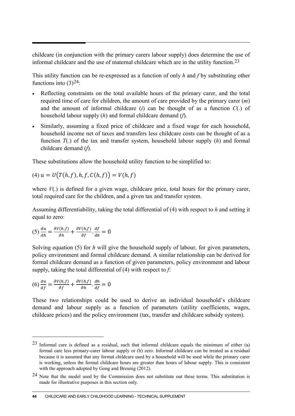childcare (in conjunction with the primary carers labour supply) does determine the use of informal childcare and the use of maternal childcare which are in the utility function.[23](#page-45-0)

This utility function can be re-expressed as a function of only *h* and *f* by substituting other functions into  $(3)^{24}$  $(3)^{24}$  $(3)^{24}$ :

- Reflecting constraints on the total available hours of the primary carer, and the total required time of care for children, the amount of care provided by the primary carer (*m*) and the amount of informal childcare (*i*) can be thought of as a function *C*(.) of household labour supply (*h*) and formal childcare demand (*f*).
- Similarly, assuming a fixed price of childcare and a fixed wage for each household, household income net of taxes and transfers less childcare costs can be thought of as a function *T*(.) of the tax and transfer system, household labour supply (*h*) and formal childcare demand (*f*).

These substitutions allow the household utility function to be simplified to:

$$
(4) u = U(T(h, f), h, f, C(h, f)) = V(h, f)
$$

where  $V(.)$  is defined for a given wage, childcare price, total hours for the primary carer, total required care for the children, and a given tax and transfer system.

Assuming differentiability, taking the total differential of (4) with respect to *h* and setting it equal to zero:

$$
(5) \frac{du}{dh} = \frac{\partial V(h,f)}{\partial h} + \frac{\partial V(h,f)}{\partial f} \cdot \frac{df}{dh} = 0
$$

Solving equation (5) for *h* will give the household supply of labour, for given parameters, policy environment and formal childcare demand. A similar relationship can be derived for formal childcare demand as a function of given parameters, policy environment and labour supply, taking the total differential of (4) with respect to *f*:

$$
(6)\frac{du}{df} = \frac{\partial V(h,f)}{\partial f} + \frac{\partial V(h,f)}{\partial h} \cdot \frac{dh}{df} = 0
$$

 $\overline{a}$ 

These two relationships could be used to derive an individual household's childcare demand and labour supply as a function of parameters (utility coefficients, wages, childcare prices) and the policy environment (tax, transfer and childcare subsidy system).

<span id="page-45-0"></span> $23$  Informal care is defined as a residual, such that informal childcare equals the minimum of either (a) formal care less primary-carer labour supply or (b) zero. Informal childcare can be treated as a residual because it is assumed that any formal childcare used by a household will be used while the primary carer is working, unless the formal childcare hours are greater than hours of labour supply. This is consistent with the approach adopted by Gong and Breunig (2012).

<span id="page-45-1"></span><sup>24</sup> Note that the model used by the Commission does not substitute out these terms. This substitution is made for illustrative purposes in this section only.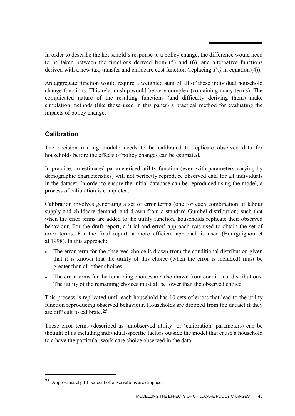In order to describe the household's response to a policy change, the difference would need to be taken between the functions derived from (5) and (6), and alternative functions derived with a new tax, transfer and childcare cost function (replacing *T(.)* in equation (4)).

An aggregate function would require a weighted sum of all of these individual household change functions. This relationship would be very complex (containing many terms). The complicated nature of the resulting functions (and difficulty deriving them) make simulation methods (like those used in this paper) a practical method for evaluating the impacts of policy change.

## **Calibration**

The decision making module needs to be calibrated to replicate observed data for households before the effects of policy changes can be estimated.

In practice, an estimated parameterised utility function (even with parameters varying by demographic characteristics) will not perfectly reproduce observed data for all individuals in the dataset. In order to ensure the initial database can be reproduced using the model, a process of calibration is completed.

Calibration involves generating a set of error terms (one for each combination of labour supply and childcare demand, and drawn from a standard Gumbel distribution) such that when the error terms are added to the utility function, households replicate their observed behaviour. For the draft report, a 'trial and error' approach was used to obtain the set of error terms. For the final report, a more efficient approach is used (Bourguignon et al 1998). In this approach:

- The error term for the observed choice is drawn from the conditional distribution given that it is known that the utility of this choice (when the error is included) must be greater than all other choices.
- The error terms for the remaining choices are also drawn from conditional distributions. The utility of the remaining choices must all be lower than the observed choice.

This process is replicated until each household has 10 sets of errors that lead to the utility function reproducing observed behaviour. Households are dropped from the dataset if they are difficult to calibrate [25](#page-46-0)

These error terms (described as 'unobserved utility' or 'calibration' parameters) can be thought of as including individual-specific factors outside the model that cause a household to a have the particular work-care choice observed in the data.

-

<span id="page-46-0"></span><sup>25</sup> Approximately 10 per cent of observations are dropped.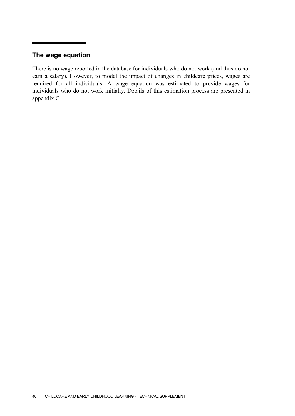### **The wage equation**

There is no wage reported in the database for individuals who do not work (and thus do not earn a salary). However, to model the impact of changes in childcare prices, wages are required for all individuals. A wage equation was estimated to provide wages for individuals who do not work initially. Details of this estimation process are presented in appendix C.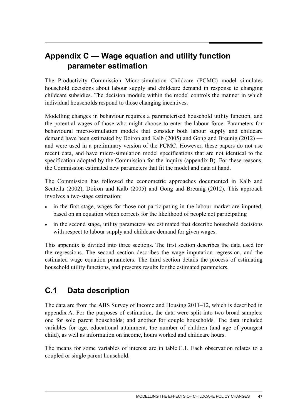# **Appendix C — Wage equation and utility function parameter estimation**

The Productivity Commission Micro-simulation Childcare (PCMC) model simulates household decisions about labour supply and childcare demand in response to changing childcare subsidies. The decision module within the model controls the manner in which individual households respond to those changing incentives.

Modelling changes in behaviour requires a parameterised household utility function, and the potential wages of those who might choose to enter the labour force. Parameters for behavioural micro-simulation models that consider both labour supply and childcare demand have been estimated by Doiron and Kalb (2005) and Gong and Breunig (2012) and were used in a preliminary version of the PCMC. However, these papers do not use recent data, and have micro-simulation model specifications that are not identical to the specification adopted by the Commission for the inquiry (appendix B). For these reasons, the Commission estimated new parameters that fit the model and data at hand.

The Commission has followed the econometric approaches documented in Kalb and Scutella (2002), Doiron and Kalb (2005) and Gong and Breunig (2012). This approach involves a two-stage estimation:

- in the first stage, wages for those not participating in the labour market are imputed, based on an equation which corrects for the likelihood of people not participating
- in the second stage, utility parameters are estimated that describe household decisions with respect to labour supply and childcare demand for given wages.

This appendix is divided into three sections. The first section describes the data used for the regressions. The second section describes the wage imputation regression, and the estimated wage equation parameters. The third section details the process of estimating household utility functions, and presents results for the estimated parameters.

# **C.1 Data description**

The data are from the ABS Survey of Income and Housing 2011–12, which is described in appendix A. For the purposes of estimation, the data were split into two broad samples: one for sole parent households; and another for couple households. The data included variables for age, educational attainment, the number of children (and age of youngest child), as well as information on income, hours worked and childcare hours.

The means for some variables of interest are in table C.1. Each observation relates to a coupled or single parent household.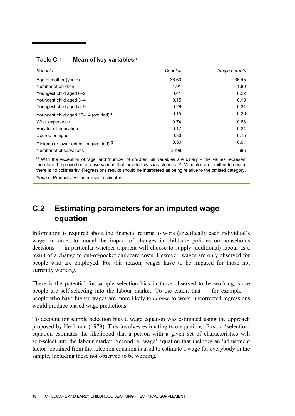| Variable                                         | Couples | Single parents |  |
|--------------------------------------------------|---------|----------------|--|
| Age of mother (years)                            | 36.60   | 36.45          |  |
| Number of children                               | 1.91    | 1.80           |  |
| Youngest child aged 0-2                          | 0.41    | 0.22           |  |
| Youngest child aged 3-4                          | 0.15    | 0.18           |  |
| Youngest child aged 5-9                          | 0.29    | 0.34           |  |
| Youngest child aged 10-14 (omitted) <sup>b</sup> | 0.15    | 0.26           |  |
| Work experience                                  | 0.74    | 0.63           |  |
| Vocational education                             | 0.17    | 0.24           |  |
| Degree or higher                                 | 0.33    | 0.15           |  |
| Diploma or lower education (omitted) <b>b</b>    | 0.50    | 0.61           |  |
| Number of observations                           | 2498    | 685            |  |

**a** With the exception of 'age' and 'number of children' all variables are binary – the values represent therefore the proportion of observations that include this characteristic. **b** Variables are omitted to ensure there is no collinearity. Regressions results should be interpreted as being relative to the omitted category.

*Source*: Productivity Commission estimates.

Table C.1 **Mean of key variables**<sup>a</sup>

# **C.2 Estimating parameters for an imputed wage equation**

Information is required about the financial returns to work (specifically each individual's wage) in order to model the impact of changes in childcare policies on households decisions — in particular whether a parent will choose to supply (additional) labour as a result of a change to out-of-pocket childcare costs. However, wages are only observed for people who are employed. For this reason, wages have to be imputed for those not currently working.

There is the potential for sample selection bias in those observed to be working, since people are self-selecting into the labour market. To the extent that — for example people who have higher wages are more likely to *choose* to work, uncorrected regressions would produce biased wage predictions.

To account for sample selection bias a wage equation was estimated using the approach proposed by Heckman (1979). This involves estimating two equations. First, a 'selection' equation estimates the likelihood that a person with a given set of characteristics will self-select into the labour market. Second, a 'wage' equation that includes an 'adjustment factor' obtained from the selection equation is used to estimate a wage for everybody in the sample, including those not observed to be working.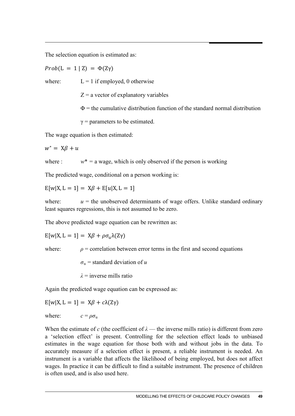The selection equation is estimated as:

 $Prob(L = 1 | Z) = \Phi(ZV)$ 

where:  $L = 1$  if employed, 0 otherwise

 $Z = a$  vector of explanatory variables

 $\Phi$  = the cumulative distribution function of the standard normal distribution

 $\gamma$  = parameters to be estimated.

The wage equation is then estimated:

 $w^* = X\beta + u$ 

where :  $w^* = a$  wage, which is only observed if the person is working

The predicted wage, conditional on a person working is:

 $E[w|X, L = 1] = X\beta + E[u|X, L = 1]$ 

where:  $u =$  the unobserved determinants of wage offers. Unlike standard ordinary least squares regressions, this is not assumed to be zero.

The above predicted wage equation can be rewritten as:

 $E[w|X, L = 1] = X\beta + \rho\sigma_{u}\lambda(Z\gamma)$ 

where:  $\rho$  = correlation between error terms in the first and second equations

 $\sigma_{\rm u}$  = standard deviation of *u* 

*λ* = inverse mills ratio

Again the predicted wage equation can be expressed as:

 $E[w|X, L = 1] = X\beta + c\lambda(Z\gamma)$ 

where:  $c = \rho \sigma_{\rm u}$ 

When the estimate of *c* (the coefficient of  $\lambda$  — the inverse mills ratio) is different from zero a 'selection effect' is present. Controlling for the selection effect leads to unbiased estimates in the wage equation for those both with and without jobs in the data. To accurately measure if a selection effect is present, a reliable instrument is needed. An instrument is a variable that affects the likelihood of being employed, but does not affect wages. In practice it can be difficult to find a suitable instrument. The presence of children is often used, and is also used here.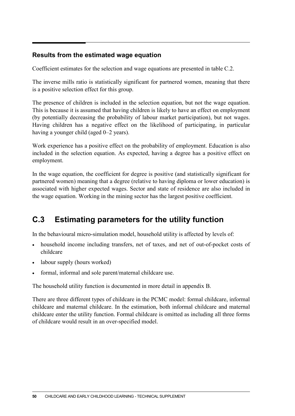### **Results from the estimated wage equation**

Coefficient estimates for the selection and wage equations are presented in table C.2.

The inverse mills ratio is statistically significant for partnered women, meaning that there is a positive selection effect for this group.

The presence of children is included in the selection equation, but not the wage equation. This is because it is assumed that having children is likely to have an effect on employment (by potentially decreasing the probability of labour market participation), but not wages. Having children has a negative effect on the likelihood of participating, in particular having a younger child (aged 0–2 years).

Work experience has a positive effect on the probability of employment. Education is also included in the selection equation. As expected, having a degree has a positive effect on employment.

In the wage equation, the coefficient for degree is positive (and statistically significant for partnered women) meaning that a degree (relative to having diploma or lower education) is associated with higher expected wages. Sector and state of residence are also included in the wage equation. Working in the mining sector has the largest positive coefficient.

# **C.3 Estimating parameters for the utility function**

In the behavioural micro-simulation model, household utility is affected by levels of:

- household income including transfers, net of taxes, and net of out-of-pocket costs of childcare
- labour supply (hours worked)
- formal, informal and sole parent/maternal childcare use.

The household utility function is documented in more detail in appendix B.

There are three different types of childcare in the PCMC model: formal childcare, informal childcare and maternal childcare. In the estimation, both informal childcare and maternal childcare enter the utility function. Formal childcare is omitted as including all three forms of childcare would result in an over-specified model.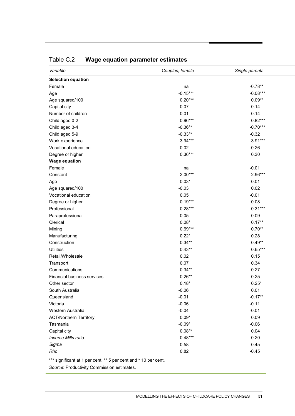| <b>Selection equation</b><br>$-0.78**$<br>Female<br>na<br>$-0.15***$<br>$-0.08***$<br>Age<br>$0.20***$<br>$0.09**$<br>Age squared/100<br>0.07<br>0.14<br>Capital city | Variable           | Couples, female | Single parents |
|-----------------------------------------------------------------------------------------------------------------------------------------------------------------------|--------------------|-----------------|----------------|
|                                                                                                                                                                       |                    |                 |                |
|                                                                                                                                                                       |                    |                 |                |
|                                                                                                                                                                       |                    |                 |                |
|                                                                                                                                                                       |                    |                 |                |
|                                                                                                                                                                       |                    |                 |                |
|                                                                                                                                                                       | Number of children | 0.01            | $-0.14$        |
| $-0.96***$<br>$-0.82***$<br>Child aged 0-2                                                                                                                            |                    |                 |                |
| $-0.36**$<br>$-0.70***$<br>Child aged 3-4                                                                                                                             |                    |                 |                |
| $-0.33**$<br>$-0.32$<br>Child aged 5-9                                                                                                                                |                    |                 |                |
| $3.94***$<br>$3.91***$<br>Work experience                                                                                                                             |                    |                 |                |
| Vocational education<br>0.02<br>$-0.26$                                                                                                                               |                    |                 |                |
| $0.36***$<br>0.30<br>Degree or higher                                                                                                                                 |                    |                 |                |
| <b>Wage equation</b>                                                                                                                                                  |                    |                 |                |
| $-0.01$<br>Female<br>na                                                                                                                                               |                    |                 |                |
| $2.00***$<br>2.96***<br>Constant                                                                                                                                      |                    |                 |                |
| $0.03*$<br>$-0.01$<br>Age                                                                                                                                             |                    |                 |                |
| $-0.03$<br>0.02<br>Age squared/100                                                                                                                                    |                    |                 |                |
| 0.05<br>$-0.01$<br>Vocational education                                                                                                                               |                    |                 |                |
| $0.19***$<br>0.08<br>Degree or higher                                                                                                                                 |                    |                 |                |
| $0.28***$<br>$0.31***$<br>Professional                                                                                                                                |                    |                 |                |
| $-0.05$<br>0.09<br>Paraprofessional                                                                                                                                   |                    |                 |                |
| $0.08*$<br>$0.17**$<br>Clerical                                                                                                                                       |                    |                 |                |
| $0.69***$<br>$0.70**$<br>Mining                                                                                                                                       |                    |                 |                |
| $0.22*$<br>0.28<br>Manufacturing                                                                                                                                      |                    |                 |                |
| $0.49**$<br>$0.34***$<br>Construction                                                                                                                                 |                    |                 |                |
| <b>Utilities</b><br>$0.43**$<br>$0.65***$                                                                                                                             |                    |                 |                |
| 0.02<br>0.15<br>Retail/Wholesale                                                                                                                                      |                    |                 |                |
| 0.07<br>0.34<br>Transport                                                                                                                                             |                    |                 |                |
| $0.34**$<br>0.27<br>Communications                                                                                                                                    |                    |                 |                |
| $0.26**$<br>0.25<br>Financial business services                                                                                                                       |                    |                 |                |
| $0.18*$<br>$0.25*$<br>Other sector                                                                                                                                    |                    |                 |                |
| 0.01<br>South Australia<br>$-0.06$                                                                                                                                    |                    |                 |                |
| $-0.17**$<br>$-0.01$<br>Queensland                                                                                                                                    |                    |                 |                |
| Victoria<br>$-0.06$<br>$-0.11$                                                                                                                                        |                    |                 |                |
| $-0.04$<br>$-0.01$<br>Western Australia                                                                                                                               |                    |                 |                |
| $0.09*$<br>0.09<br><b>ACT/Northern Territory</b>                                                                                                                      |                    |                 |                |
| $-0.09*$<br>$-0.06$<br>Tasmania                                                                                                                                       |                    |                 |                |
| $0.08**$<br>0.04<br>Capital city                                                                                                                                      |                    |                 |                |
| $0.48***$<br>$-0.20$<br>Inverse Mills ratio                                                                                                                           |                    |                 |                |
| 0.45<br>0.58<br>Sigma                                                                                                                                                 |                    |                 |                |
| 0.82<br>Rho<br>$-0.45$                                                                                                                                                |                    |                 |                |

# Table C.2 **Wage equation parameter estimates**

\*\*\* significant at 1 per cent, \*\* 5 per cent and \* 10 per cent.

*Source*: Productivity Commission estimates.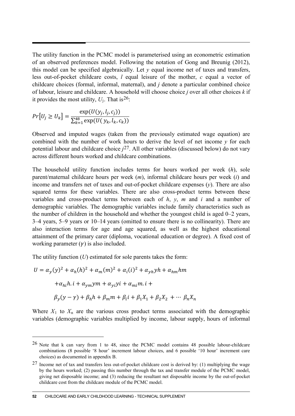The utility function in the PCMC model is parameterised using an econometric estimation of an observed preferences model. Following the notation of Gong and Breunig (2012), this model can be specified algebraically. Let  $\nu$  equal income net of taxes and transfers, less out-of-pocket childcare costs, *l* equal leisure of the mother, *c* equal a vector of childcare choices (formal, informal, maternal), and *j* denote a particular combined choice of labour, leisure and childcare. A household will choose choice *j* over all other choices *k* if it provides the most utility,  $U_i$ . That is <sup>26</sup>:

$$
Pr[U_j \ge U_k] = \frac{\exp(U(y_j, l_j, c_j))}{\sum_{k=1}^{48} \exp(U(y_k, l_k, c_k))}
$$

Observed and imputed wages (taken from the previously estimated wage equation) are combined with the number of work hours to derive the level of net income *y* for each potential labour and childcare choice *j*[27.](#page-53-1) All other variables (discussed below) do not vary across different hours worked and childcare combinations.

The household utility function includes terms for hours worked per week (*h*), sole parent/maternal childcare hours per week (*m*), informal childcare hours per week (*i*) and income and transfers net of taxes and out-of-pocket childcare expenses (*y*). There are also squared terms for these variables. There are also cross-product terms between these variables and cross-product terms between each of *h*, *y*, *m* and *i* and a number of demographic variables. The demographic variables include family characteristics such as the number of children in the household and whether the youngest child is aged 0–2 years, 3–4 years, 5–9 years or 10–14 years (omitted to ensure there is no collinearity). There are also interaction terms for age and age squared, as well as the highest educational attainment of the primary carer (diploma, vocational education or degree). A fixed cost of working parameter  $(\gamma)$  is also included.

The utility function (*U*) estimated for sole parents takes the form:

$$
U = \alpha_y(y)^2 + \alpha_h(h)^2 + \alpha_m(m)^2 + \alpha_i(i)^2 + \alpha_{yh}yh + \alpha_{hm}hm
$$
  
+
$$
\alpha_{hi}h.i + \alpha_{ym}ym + \alpha_{yi}yi + \alpha_{mi}m.i +
$$
  

$$
\beta_y(y - \gamma) + \beta_hh + \beta_m m + \beta_i i + \beta_1 X_1 + \beta_2 X_2 + \cdots + \beta_n X_n
$$

Where  $X_1$  to  $X_n$  are the various cross product terms associated with the demographic variables (demographic variables multiplied by income, labour supply, hours of informal

 $\overline{a}$ 

<span id="page-53-0"></span><sup>&</sup>lt;sup>26</sup> Note that k can vary from 1 to 48, since the PCMC model contains 48 possible labour-childcare combinations (8 possible '8 hour' increment labour choices, and 6 possible '10 hour' increment care choices) as documented in appendix B.

<span id="page-53-1"></span><sup>27</sup> Income net of tax and transfers less out-of-pocket childcare cost is derived by: (1) multiplying the wage by the hours worked; (2) passing this number through the tax and transfer module of the PCMC model, giving net disposable income; and (3) reducing the resultant net disposable income by the out-of-pocket childcare cost from the childcare module of the PCMC model.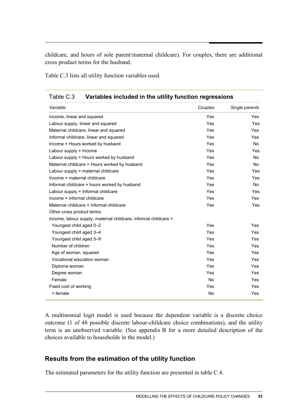childcare, and hours of sole parent/maternal childcare). For couples, there are additional cross product terms for the husband.

Table C.3 lists all utility function variables used.

| i avic o.o<br><u>Vanavics included in the utility function regressions</u> |            |                |  |  |
|----------------------------------------------------------------------------|------------|----------------|--|--|
| Variable                                                                   | Couples    | Single parents |  |  |
| Income, linear and squared                                                 | Yes        | <b>Yes</b>     |  |  |
| Labour supply, linear and squared                                          | <b>Yes</b> | <b>Yes</b>     |  |  |
| Maternal childcare, linear and squared                                     | Yes        | Yes            |  |  |
| Informal childcare, linear and squared                                     | Yes        | <b>Yes</b>     |  |  |
| Income × Hours worked by husband                                           | Yes        | No.            |  |  |
| Labour supply × Income                                                     | <b>Yes</b> | Yes            |  |  |
| Labour supply × Hours worked by husband                                    | <b>Yes</b> | <b>No</b>      |  |  |
| Maternal childcare × Hours worked by husband                               | Yes        | <b>No</b>      |  |  |
| Labour supply × maternal childcare                                         | Yes        | Yes            |  |  |
| Income × maternal childcare                                                | Yes        | Yes            |  |  |
| Informal childcare × hours worked by husband                               | <b>Yes</b> | <b>No</b>      |  |  |
| Labour supply × Informal childcare                                         | Yes        | Yes            |  |  |
| Income x informal childcare                                                | <b>Yes</b> | Yes            |  |  |
| Maternal childcare × informal childcare                                    | <b>Yes</b> | <b>Yes</b>     |  |  |
| Other cross product terms:                                                 |            |                |  |  |
| Income, labour supply, maternal childcare, informal childcare ×            |            |                |  |  |
| Youngest child aged 0-2                                                    | Yes        | <b>Yes</b>     |  |  |
| Youngest child aged 3-4                                                    | Yes        | <b>Yes</b>     |  |  |
| Youngest child aged 5-9                                                    | Yes        | <b>Yes</b>     |  |  |
| Number of children                                                         | Yes        | <b>Yes</b>     |  |  |
| Age of woman, squared                                                      | Yes        | <b>Yes</b>     |  |  |
| Vocational education woman                                                 | <b>Yes</b> | <b>Yes</b>     |  |  |
| Diploma woman                                                              | <b>Yes</b> | <b>Yes</b>     |  |  |
| Degree woman                                                               | <b>Yes</b> | <b>Yes</b>     |  |  |
| Female                                                                     | <b>No</b>  | <b>Yes</b>     |  |  |
| Fixed cost of working                                                      | Yes        | Yes            |  |  |
| × female                                                                   | No         | Yes            |  |  |

Table C.3 **Variables included in the utility function regressions**

A multinomial logit model is used because the dependent variable is a discrete choice outcome (1 of 48 possible discrete labour-childcare choice combinations), and the utility term is an unobserved variable. (See appendix B for a more detailed description of the choices available to households in the model.)

### **Results from the estimation of the utility function**

The estimated parameters for the utility function are presented in table C.4.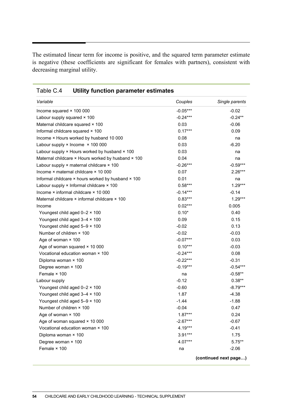The estimated linear term for income is positive, and the squared term parameter estimate is negative (these coefficients are significant for females with partners), consistent with decreasing marginal utility.

| Variable                                           | Couples    | Single parents        |
|----------------------------------------------------|------------|-----------------------|
| Income squared × 100 000                           | $-0.05***$ | $-0.02$               |
| Labour supply squared × 100                        | $-0.24***$ | $-0.24**$             |
| Maternal childcare squared × 100                   | 0.03       | $-0.06$               |
| Informal childcare squared × 100                   | $0.17***$  | 0.09                  |
| Income × Hours worked by husband 10 000            | 0.08       | na                    |
| Labour supply $\times$ Income $\times$ 100 000     | 0.03       | $-6.20$               |
| Labour supply × Hours worked by husband × 100      | 0.03       | na                    |
| Maternal childcare × Hours worked by husband × 100 | 0.04       | na                    |
| Labour supply × maternal childcare × 100           | $-0.26***$ | $-0.59***$            |
| Income × maternal childcare × 10 000               | 0.07       | $2.26***$             |
| Informal childcare × hours worked by husband × 100 | 0.01       | na                    |
| Labour supply × Informal childcare × 100           | $0.58***$  | $1.29***$             |
| Income × informal childcare × 10 000               | $-0.14***$ | $-0.14$               |
| Maternal childcare × informal childcare × 100      | $0.83***$  | $1.29***$             |
| Income                                             | $0.02***$  | 0.005                 |
| Youngest child aged 0-2 × 100                      | $0.10*$    | 0.40                  |
| Youngest child aged 3-4 × 100                      | 0.09       | 0.15                  |
| Youngest child aged 5-9 x 100                      | $-0.02$    | 0.13                  |
| Number of children × 100                           | $-0.02$    | $-0.03$               |
| Age of woman × 100                                 | $-0.07***$ | 0.03                  |
| Age of woman squared × 10 000                      | $0.10***$  | $-0.03$               |
| Vocational education woman × 100                   | $-0.24***$ | 0.08                  |
| Diploma woman × 100                                | $-0.22***$ | $-0.31$               |
| Degree woman × 100                                 | $-0.19***$ | $-0.54***$            |
| Female $\times$ 100                                | na         | $-0.58**$             |
| Labour supply                                      | $-0.12$    | $0.38**$              |
| Youngest child aged 0-2 × 100                      | $-0.60$    | $-8.79***$            |
| Youngest child aged 3-4 × 100                      | 1.87       | $-4.38$               |
| Youngest child aged 5-9 × 100                      | $-1.44$    | $-1.88$               |
| Number of children × 100                           | $-0.04$    | 0.47                  |
| Age of woman $\times$ 100                          | $1.87***$  | 0.24                  |
| Age of woman squared × 10 000                      | $-2.67***$ | $-0.67$               |
| Vocational education woman × 100                   | 4.19***    | $-0.41$               |
| Diploma woman × 100                                | 3.91***    | 1.75                  |
| Degree woman × 100                                 | 4.07***    | $5.75***$             |
| Female × 100                                       | na         | $-2.06$               |
|                                                    |            | (continued next page) |

Table C.4 **Utility function parameter estimates**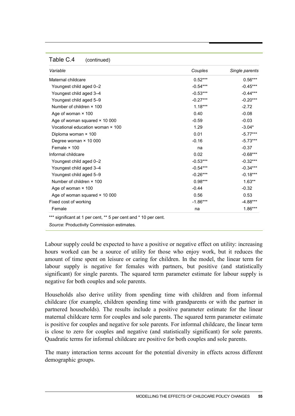#### Table C.4 (continued)

| Variable                             | Couples    | Single parents |
|--------------------------------------|------------|----------------|
| Maternal childcare                   | $0.52***$  | $0.56***$      |
| Youngest child aged 0-2              | $-0.54***$ | $-0.45***$     |
| Youngest child aged 3-4              | $-0.53***$ | $-0.44***$     |
| Youngest child aged 5-9              | $-0.27***$ | $-0.20***$     |
| Number of children × 100             | $1.18***$  | $-2.72$        |
| Age of woman $\times$ 100            | 0.40       | $-0.08$        |
| Age of woman squared × 10 000        | $-0.59$    | $-0.03$        |
| Vocational education woman × 100     | 1.29       | $-3.04*$       |
| Diploma woman × 100                  | 0.01       | $-5.77***$     |
| Degree woman × 10 000                | $-0.16$    | $-5.73***$     |
| Female × 100                         | na         | $-0.37$        |
| Informal childcare                   | 0.02       | $-0.68***$     |
| Youngest child aged 0-2              | $-0.53***$ | $-0.32***$     |
| Youngest child aged 3-4              | $-0.54***$ | $-0.34***$     |
| Youngest child aged 5-9              | $-0.26***$ | $-0.18***$     |
| Number of children × 100             | $0.98***$  | $1.63**$       |
| Age of woman × 100                   | $-0.44$    | $-0.32$        |
| Age of woman squared $\times$ 10 000 | 0.56       | 0.53           |
| Fixed cost of working                | $-1.86***$ | $-4.88***$     |
| Female                               | na         | $1.86***$      |

\*\*\* significant at 1 per cent, \*\* 5 per cent and \* 10 per cent.

*Source*: Productivity Commission estimates.

Labour supply could be expected to have a positive or negative effect on utility: increasing hours worked can be a source of utility for those who enjoy work, but it reduces the amount of time spent on leisure or caring for children. In the model, the linear term for labour supply is negative for females with partners, but positive (and statistically significant) for single parents. The squared term parameter estimate for labour supply is negative for both couples and sole parents.

Households also derive utility from spending time with children and from informal childcare (for example, children spending time with grandparents or with the partner in partnered households). The results include a positive parameter estimate for the linear maternal childcare term for couples and sole parents. The squared term parameter estimate is positive for couples and negative for sole parents. For informal childcare, the linear term is close to zero for couples and negative (and statistically significant) for sole parents. Quadratic terms for informal childcare are positive for both couples and sole parents.

The many interaction terms account for the potential diversity in effects across different demographic groups.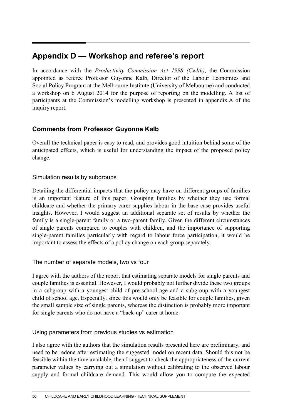# **Appendix D — Workshop and referee's report**

In accordance with the *Productivity Commission Act 1998 (Cwlth)*, the Commission appointed as referee Professor Guyonne Kalb, Director of the Labour Economics and Social Policy Program at the Melbourne Institute (University of Melbourne) and conducted a workshop on 6 August 2014 for the purpose of reporting on the modelling. A list of participants at the Commission's modelling workshop is presented in appendix A of the inquiry report.

## **Comments from Professor Guyonne Kalb**

Overall the technical paper is easy to read, and provides good intuition behind some of the anticipated effects, which is useful for understanding the impact of the proposed policy change.

### Simulation results by subgroups

Detailing the differential impacts that the policy may have on different groups of families is an important feature of this paper. Grouping families by whether they use formal childcare and whether the primary carer supplies labour in the base case provides useful insights. However, I would suggest an additional separate set of results by whether the family is a single-parent family or a two-parent family. Given the different circumstances of single parents compared to couples with children, and the importance of supporting single-parent families particularly with regard to labour force participation, it would be important to assess the effects of a policy change on each group separately.

## The number of separate models, two vs four

I agree with the authors of the report that estimating separate models for single parents and couple families is essential. However, I would probably not further divide these two groups in a subgroup with a youngest child of pre-school age and a subgroup with a youngest child of school age. Especially, since this would only be feasible for couple families, given the small sample size of single parents, whereas the distinction is probably more important for single parents who do not have a "back-up" carer at home.

## Using parameters from previous studies vs estimation

I also agree with the authors that the simulation results presented here are preliminary, and need to be redone after estimating the suggested model on recent data. Should this not be feasible within the time available, then I suggest to check the appropriateness of the current parameter values by carrying out a simulation without calibrating to the observed labour supply and formal childcare demand. This would allow you to compute the expected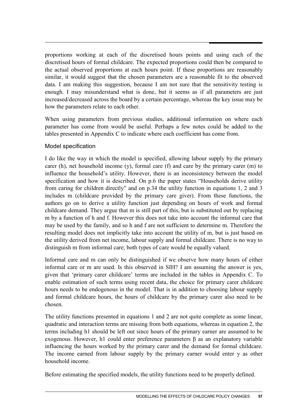proportions working at each of the discretised hours points and using each of the discretised hours of formal childcare. The expected proportions could then be compared to the actual observed proportions at each hours point. If these proportions are reasonably similar, it would suggest that the chosen parameters are a reasonable fit to the observed data. I am making this suggestion, because I am not sure that the sensitivity testing is enough. I may misunderstand what is done, but it seems as if all parameters are just increased/decreased across the board by a certain percentage, whereas the key issue may be how the parameters relate to each other.

When using parameters from previous studies, additional information on where each parameter has come from would be useful. Perhaps a few notes could be added to the tables presented in Appendix C to indicate where each coefficient has come from.

### Model specification

I do like the way in which the model is specified, allowing labour supply by the primary carer (h), net household income (y), formal care (f) and care by the primary carer (m) to influence the household's utility. However, there is an inconsistency between the model specification and how it is described. On p.6 the paper states "Households derive utility from caring for children directly" and on p.34 the utility function in equations 1, 2 and 3 includes m (childcare provided by the primary care giver). From these functions, the authors go on to derive a utility function just depending on hours of work and formal childcare demand. They argue that m is still part of this, but is substituted out by replacing m by a function of h and f. However this does not take into account the informal care that may be used by the family, and so h and f are not sufficient to determine m. Therefore the resulting model does not implicitly take into account the utility of m, but is just based on the utility derived from net income, labour supply and formal childcare. There is no way to distinguish m from informal care; both types of care would be equally valued.

Informal care and m can only be distinguished if we observe how many hours of either informal care or m are used. Is this observed in SIH? I am assuming the answer is yes, given that 'primary carer childcare' terms are included in the tables in Appendix C. To enable estimation of such terms using recent data, the choice for primary carer childcare hours needs to be endogenous in the model. That is in addition to choosing labour supply and formal childcare hours, the hours of childcare by the primary carer also need to be chosen.

The utility functions presented in equations 1 and 2 are not quite complete as some linear, quadratic and interaction terms are missing from both equations, whereas in equation 2, the terms including h1 should be left out since hours of the primary earner are assumed to be exogenous. However, h1 could enter preference parameters β as an explanatory variable influencing the hours worked by the primary carer and the demand for formal childcare. The income earned from labour supply by the primary earner would enter y as other household income.

Before estimating the specified models, the utility functions need to be properly defined.